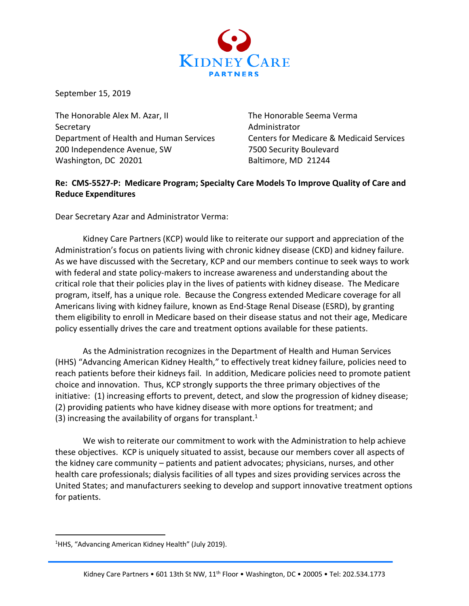

September 15, 2019

The Honorable Alex M. Azar, II The Honorable Seema Verma Secretary **Administrator** Administrator Department of Health and Human Services Centers for Medicare & Medicaid Services 200 Independence Avenue, SW 7500 Security Boulevard Washington, DC 20201 Baltimore, MD 21244

#### **Re: CMS-5527-P: Medicare Program; Specialty Care Models To Improve Quality of Care and Reduce Expenditures**

Dear Secretary Azar and Administrator Verma:

Kidney Care Partners (KCP) would like to reiterate our support and appreciation of the Administration's focus on patients living with chronic kidney disease (CKD) and kidney failure. As we have discussed with the Secretary, KCP and our members continue to seek ways to work with federal and state policy-makers to increase awareness and understanding about the critical role that their policies play in the lives of patients with kidney disease. The Medicare program, itself, has a unique role. Because the Congress extended Medicare coverage for all Americans living with kidney failure, known as End-Stage Renal Disease (ESRD), by granting them eligibility to enroll in Medicare based on their disease status and not their age, Medicare policy essentially drives the care and treatment options available for these patients.

As the Administration recognizes in the Department of Health and Human Services (HHS) "Advancing American Kidney Health," to effectively treat kidney failure, policies need to reach patients before their kidneys fail. In addition, Medicare policies need to promote patient choice and innovation. Thus, KCP strongly supports the three primary objectives of the initiative: (1) increasing efforts to prevent, detect, and slow the progression of kidney disease; (2) providing patients who have kidney disease with more options for treatment; and (3) increasing the availability of organs for transplant.<sup>1</sup>

We wish to reiterate our commitment to work with the Administration to help achieve these objectives. KCP is uniquely situated to assist, because our members cover all aspects of the kidney care community – patients and patient advocates; physicians, nurses, and other health care professionals; dialysis facilities of all types and sizes providing services across the United States; and manufacturers seeking to develop and support innovative treatment options for patients.

<sup>&</sup>lt;sup>1</sup>HHS, "Advancing American Kidney Health" (July 2019).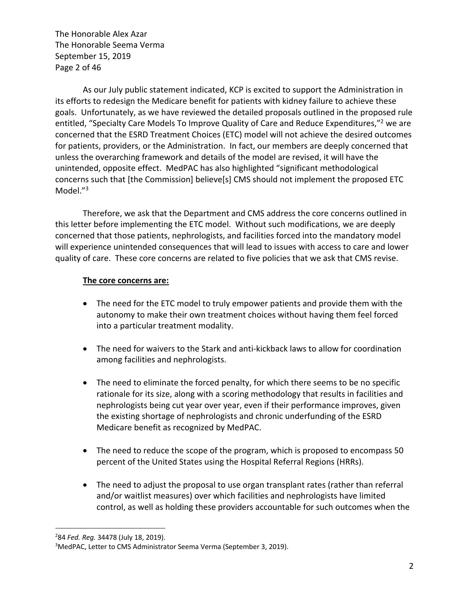The Honorable Alex Azar The Honorable Seema Verma September 15, 2019 Page 2 of 46

As our July public statement indicated, KCP is excited to support the Administration in its efforts to redesign the Medicare benefit for patients with kidney failure to achieve these goals. Unfortunately, as we have reviewed the detailed proposals outlined in the proposed rule entitled, "Specialty Care Models To Improve Quality of Care and Reduce Expenditures,"<sup>2</sup> we are concerned that the ESRD Treatment Choices (ETC) model will not achieve the desired outcomes for patients, providers, or the Administration. In fact, our members are deeply concerned that unless the overarching framework and details of the model are revised, it will have the unintended, opposite effect. MedPAC has also highlighted "significant methodological concerns such that [the Commission] believe[s] CMS should not implement the proposed ETC Model."3

Therefore, we ask that the Department and CMS address the core concerns outlined in this letter before implementing the ETC model. Without such modifications, we are deeply concerned that those patients, nephrologists, and facilities forced into the mandatory model will experience unintended consequences that will lead to issues with access to care and lower quality of care. These core concerns are related to five policies that we ask that CMS revise.

#### **The core concerns are:**

- The need for the ETC model to truly empower patients and provide them with the autonomy to make their own treatment choices without having them feel forced into a particular treatment modality.
- The need for waivers to the Stark and anti-kickback laws to allow for coordination among facilities and nephrologists.
- The need to eliminate the forced penalty, for which there seems to be no specific rationale for its size, along with a scoring methodology that results in facilities and nephrologists being cut year over year, even if their performance improves, given the existing shortage of nephrologists and chronic underfunding of the ESRD Medicare benefit as recognized by MedPAC.
- The need to reduce the scope of the program, which is proposed to encompass 50 percent of the United States using the Hospital Referral Regions (HRRs).
- The need to adjust the proposal to use organ transplant rates (rather than referral and/or waitlist measures) over which facilities and nephrologists have limited control, as well as holding these providers accountable for such outcomes when the

<sup>2</sup> 84 *Fed. Reg.* 34478 (July 18, 2019).

<sup>&</sup>lt;sup>3</sup>MedPAC, Letter to CMS Administrator Seema Verma (September 3, 2019).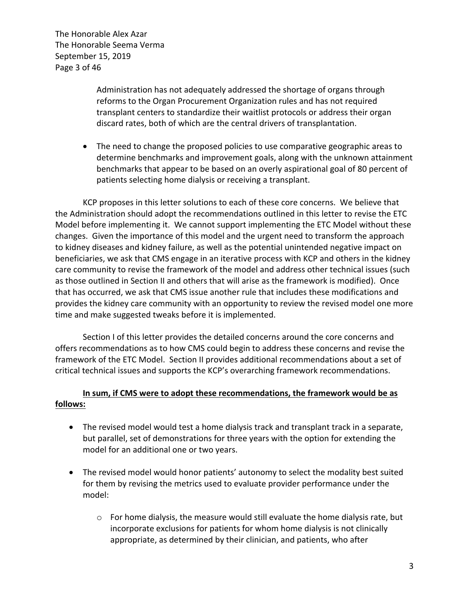The Honorable Alex Azar The Honorable Seema Verma September 15, 2019 Page 3 of 46

> Administration has not adequately addressed the shortage of organs through reforms to the Organ Procurement Organization rules and has not required transplant centers to standardize their waitlist protocols or address their organ discard rates, both of which are the central drivers of transplantation.

• The need to change the proposed policies to use comparative geographic areas to determine benchmarks and improvement goals, along with the unknown attainment benchmarks that appear to be based on an overly aspirational goal of 80 percent of patients selecting home dialysis or receiving a transplant.

KCP proposes in this letter solutions to each of these core concerns. We believe that the Administration should adopt the recommendations outlined in this letter to revise the ETC Model before implementing it. We cannot support implementing the ETC Model without these changes. Given the importance of this model and the urgent need to transform the approach to kidney diseases and kidney failure, as well as the potential unintended negative impact on beneficiaries, we ask that CMS engage in an iterative process with KCP and others in the kidney care community to revise the framework of the model and address other technical issues (such as those outlined in Section II and others that will arise as the framework is modified). Once that has occurred, we ask that CMS issue another rule that includes these modifications and provides the kidney care community with an opportunity to review the revised model one more time and make suggested tweaks before it is implemented.

Section I of this letter provides the detailed concerns around the core concerns and offers recommendations as to how CMS could begin to address these concerns and revise the framework of the ETC Model. Section II provides additional recommendations about a set of critical technical issues and supports the KCP's overarching framework recommendations.

## **In sum, if CMS were to adopt these recommendations, the framework would be as follows:**

- The revised model would test a home dialysis track and transplant track in a separate, but parallel, set of demonstrations for three years with the option for extending the model for an additional one or two years.
- The revised model would honor patients' autonomy to select the modality best suited for them by revising the metrics used to evaluate provider performance under the model:
	- $\circ$  For home dialysis, the measure would still evaluate the home dialysis rate, but incorporate exclusions for patients for whom home dialysis is not clinically appropriate, as determined by their clinician, and patients, who after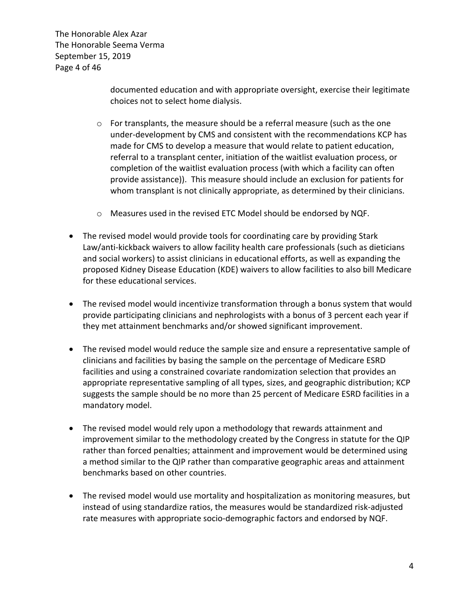The Honorable Alex Azar The Honorable Seema Verma September 15, 2019 Page 4 of 46

> documented education and with appropriate oversight, exercise their legitimate choices not to select home dialysis.

- $\circ$  For transplants, the measure should be a referral measure (such as the one under-development by CMS and consistent with the recommendations KCP has made for CMS to develop a measure that would relate to patient education, referral to a transplant center, initiation of the waitlist evaluation process, or completion of the waitlist evaluation process (with which a facility can often provide assistance)). This measure should include an exclusion for patients for whom transplant is not clinically appropriate, as determined by their clinicians.
- o Measures used in the revised ETC Model should be endorsed by NQF.
- The revised model would provide tools for coordinating care by providing Stark Law/anti-kickback waivers to allow facility health care professionals (such as dieticians and social workers) to assist clinicians in educational efforts, as well as expanding the proposed Kidney Disease Education (KDE) waivers to allow facilities to also bill Medicare for these educational services.
- The revised model would incentivize transformation through a bonus system that would provide participating clinicians and nephrologists with a bonus of 3 percent each year if they met attainment benchmarks and/or showed significant improvement.
- The revised model would reduce the sample size and ensure a representative sample of clinicians and facilities by basing the sample on the percentage of Medicare ESRD facilities and using a constrained covariate randomization selection that provides an appropriate representative sampling of all types, sizes, and geographic distribution; KCP suggests the sample should be no more than 25 percent of Medicare ESRD facilities in a mandatory model.
- The revised model would rely upon a methodology that rewards attainment and improvement similar to the methodology created by the Congress in statute for the QIP rather than forced penalties; attainment and improvement would be determined using a method similar to the QIP rather than comparative geographic areas and attainment benchmarks based on other countries.
- The revised model would use mortality and hospitalization as monitoring measures, but instead of using standardize ratios, the measures would be standardized risk-adjusted rate measures with appropriate socio-demographic factors and endorsed by NQF.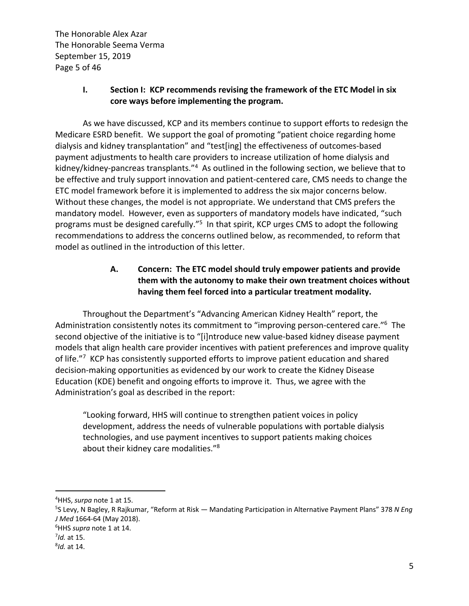The Honorable Alex Azar The Honorable Seema Verma September 15, 2019 Page 5 of 46

### **I. Section I: KCP recommends revising the framework of the ETC Model in six core ways before implementing the program.**

As we have discussed, KCP and its members continue to support efforts to redesign the Medicare ESRD benefit. We support the goal of promoting "patient choice regarding home dialysis and kidney transplantation" and "test[ing] the effectiveness of outcomes-based payment adjustments to health care providers to increase utilization of home dialysis and kidney/kidney-pancreas transplants."4 As outlined in the following section, we believe that to be effective and truly support innovation and patient-centered care, CMS needs to change the ETC model framework before it is implemented to address the six major concerns below. Without these changes, the model is not appropriate. We understand that CMS prefers the mandatory model. However, even as supporters of mandatory models have indicated, "such programs must be designed carefully."<sup>5</sup> In that spirit, KCP urges CMS to adopt the following recommendations to address the concerns outlined below, as recommended, to reform that model as outlined in the introduction of this letter.

# **A. Concern: The ETC model should truly empower patients and provide them with the autonomy to make their own treatment choices without having them feel forced into a particular treatment modality.**

Throughout the Department's "Advancing American Kidney Health" report, the Administration consistently notes its commitment to "improving person-centered care."<sup>6</sup> The second objective of the initiative is to "[i]ntroduce new value-based kidney disease payment models that align health care provider incentives with patient preferences and improve quality of life."<sup>7</sup> KCP has consistently supported efforts to improve patient education and shared decision-making opportunities as evidenced by our work to create the Kidney Disease Education (KDE) benefit and ongoing efforts to improve it. Thus, we agree with the Administration's goal as described in the report:

"Looking forward, HHS will continue to strengthen patient voices in policy development, address the needs of vulnerable populations with portable dialysis technologies, and use payment incentives to support patients making choices about their kidney care modalities."<sup>8</sup>

<sup>&</sup>lt;sup>4</sup>HHS, *surpa* note 1 at 15.<br><sup>5</sup>S Law - N Bagley, B Baiku

S Levy, N Bagley, R Rajkumar, "Reform at Risk — Mandating Participation in Alternative Payment Plans" 378 *N Eng J Med* 1664-64 (May 2018).

<sup>&</sup>lt;sup>6</sup>HHS *supra* note 1 at 14.

 $<sup>7</sup>$ *Id.* at 15.</sup>

*Id.* at 14.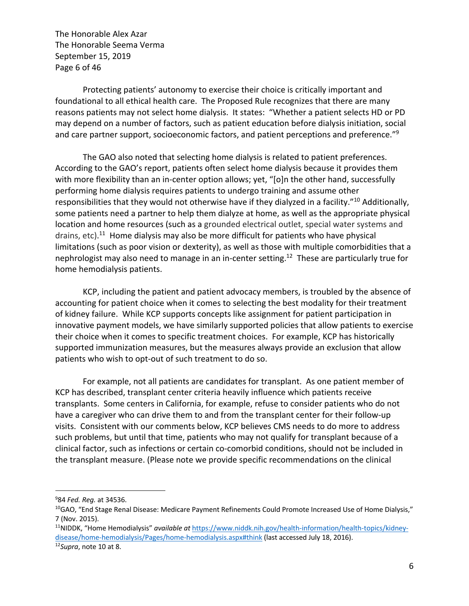The Honorable Alex Azar The Honorable Seema Verma September 15, 2019 Page 6 of 46

Protecting patients' autonomy to exercise their choice is critically important and foundational to all ethical health care. The Proposed Rule recognizes that there are many reasons patients may not select home dialysis. It states: "Whether a patient selects HD or PD may depend on a number of factors, such as patient education before dialysis initiation, social and care partner support, socioeconomic factors, and patient perceptions and preference."<sup>9</sup>

The GAO also noted that selecting home dialysis is related to patient preferences. According to the GAO's report, patients often select home dialysis because it provides them with more flexibility than an in-center option allows; yet, "[o]n the other hand, successfully performing home dialysis requires patients to undergo training and assume other responsibilities that they would not otherwise have if they dialyzed in a facility."10 Additionally, some patients need a partner to help them dialyze at home, as well as the appropriate physical location and home resources (such as a grounded electrical outlet, special water systems and drains, etc).<sup>11</sup> Home dialysis may also be more difficult for patients who have physical limitations (such as poor vision or dexterity), as well as those with multiple comorbidities that a nephrologist may also need to manage in an in-center setting.<sup>12</sup> These are particularly true for home hemodialysis patients.

KCP, including the patient and patient advocacy members, is troubled by the absence of accounting for patient choice when it comes to selecting the best modality for their treatment of kidney failure. While KCP supports concepts like assignment for patient participation in innovative payment models, we have similarly supported policies that allow patients to exercise their choice when it comes to specific treatment choices. For example, KCP has historically supported immunization measures, but the measures always provide an exclusion that allow patients who wish to opt-out of such treatment to do so.

For example, not all patients are candidates for transplant. As one patient member of KCP has described, transplant center criteria heavily influence which patients receive transplants. Some centers in California, for example, refuse to consider patients who do not have a caregiver who can drive them to and from the transplant center for their follow-up visits. Consistent with our comments below, KCP believes CMS needs to do more to address such problems, but until that time, patients who may not qualify for transplant because of a clinical factor, such as infections or certain co-comorbid conditions, should not be included in the transplant measure. (Please note we provide specific recommendations on the clinical

<sup>&</sup>lt;sup>9</sup>84 Fed. Reg. at 34536.

<sup>&</sup>lt;sup>10</sup>GAO, "End Stage Renal Disease: Medicare Payment Refinements Could Promote Increased Use of Home Dialysis," 7 (Nov. 2015).

<sup>11</sup>NIDDK, "Home Hemodialysis" *available at* https://www.niddk.nih.gov/health-information/health-topics/kidneydisease/home-hemodialysis/Pages/home-hemodialysis.aspx#think (last accessed July 18, 2016). 12*Supra*, note <sup>10</sup> at 8.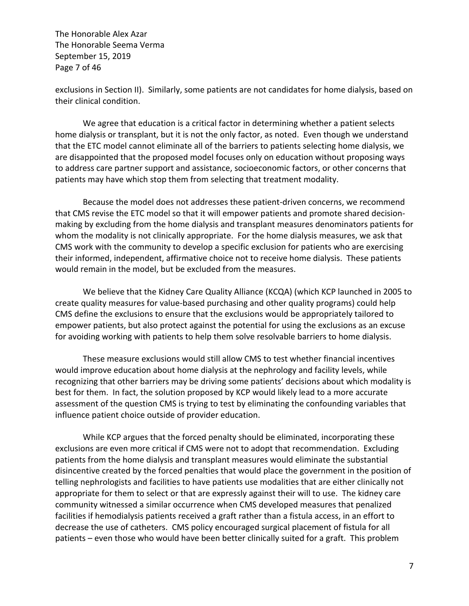The Honorable Alex Azar The Honorable Seema Verma September 15, 2019 Page 7 of 46

exclusions in Section II). Similarly, some patients are not candidates for home dialysis, based on their clinical condition.

We agree that education is a critical factor in determining whether a patient selects home dialysis or transplant, but it is not the only factor, as noted. Even though we understand that the ETC model cannot eliminate all of the barriers to patients selecting home dialysis, we are disappointed that the proposed model focuses only on education without proposing ways to address care partner support and assistance, socioeconomic factors, or other concerns that patients may have which stop them from selecting that treatment modality.

Because the model does not addresses these patient-driven concerns, we recommend that CMS revise the ETC model so that it will empower patients and promote shared decisionmaking by excluding from the home dialysis and transplant measures denominators patients for whom the modality is not clinically appropriate. For the home dialysis measures, we ask that CMS work with the community to develop a specific exclusion for patients who are exercising their informed, independent, affirmative choice not to receive home dialysis. These patients would remain in the model, but be excluded from the measures.

We believe that the Kidney Care Quality Alliance (KCQA) (which KCP launched in 2005 to create quality measures for value-based purchasing and other quality programs) could help CMS define the exclusions to ensure that the exclusions would be appropriately tailored to empower patients, but also protect against the potential for using the exclusions as an excuse for avoiding working with patients to help them solve resolvable barriers to home dialysis.

These measure exclusions would still allow CMS to test whether financial incentives would improve education about home dialysis at the nephrology and facility levels, while recognizing that other barriers may be driving some patients' decisions about which modality is best for them. In fact, the solution proposed by KCP would likely lead to a more accurate assessment of the question CMS is trying to test by eliminating the confounding variables that influence patient choice outside of provider education.

While KCP argues that the forced penalty should be eliminated, incorporating these exclusions are even more critical if CMS were not to adopt that recommendation. Excluding patients from the home dialysis and transplant measures would eliminate the substantial disincentive created by the forced penalties that would place the government in the position of telling nephrologists and facilities to have patients use modalities that are either clinically not appropriate for them to select or that are expressly against their will to use. The kidney care community witnessed a similar occurrence when CMS developed measures that penalized facilities if hemodialysis patients received a graft rather than a fistula access, in an effort to decrease the use of catheters. CMS policy encouraged surgical placement of fistula for all patients – even those who would have been better clinically suited for a graft. This problem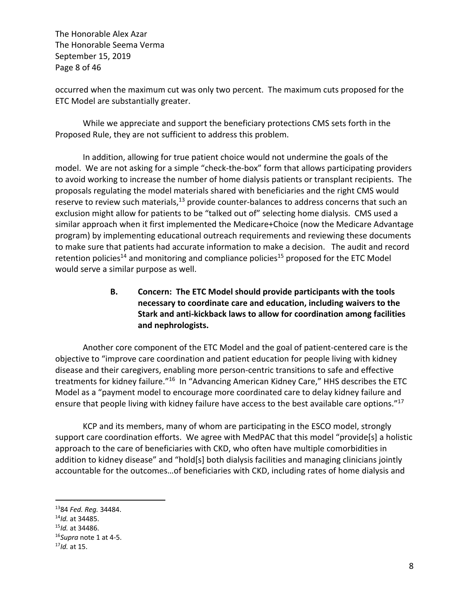The Honorable Alex Azar The Honorable Seema Verma September 15, 2019 Page 8 of 46

occurred when the maximum cut was only two percent. The maximum cuts proposed for the ETC Model are substantially greater.

While we appreciate and support the beneficiary protections CMS sets forth in the Proposed Rule, they are not sufficient to address this problem.

In addition, allowing for true patient choice would not undermine the goals of the model. We are not asking for a simple "check-the-box" form that allows participating providers to avoid working to increase the number of home dialysis patients or transplant recipients. The proposals regulating the model materials shared with beneficiaries and the right CMS would reserve to review such materials,<sup>13</sup> provide counter-balances to address concerns that such an exclusion might allow for patients to be "talked out of" selecting home dialysis. CMS used a similar approach when it first implemented the Medicare+Choice (now the Medicare Advantage program) by implementing educational outreach requirements and reviewing these documents to make sure that patients had accurate information to make a decision. The audit and record retention policies<sup>14</sup> and monitoring and compliance policies<sup>15</sup> proposed for the ETC Model would serve a similar purpose as well.

> **B. Concern: The ETC Model should provide participants with the tools necessary to coordinate care and education, including waivers to the Stark and anti-kickback laws to allow for coordination among facilities and nephrologists.**

Another core component of the ETC Model and the goal of patient-centered care is the objective to "improve care coordination and patient education for people living with kidney disease and their caregivers, enabling more person-centric transitions to safe and effective treatments for kidney failure."<sup>16</sup> In "Advancing American Kidney Care," HHS describes the ETC Model as a "payment model to encourage more coordinated care to delay kidney failure and ensure that people living with kidney failure have access to the best available care options."<sup>17</sup>

KCP and its members, many of whom are participating in the ESCO model, strongly support care coordination efforts. We agree with MedPAC that this model "provide[s] a holistic approach to the care of beneficiaries with CKD, who often have multiple comorbidities in addition to kidney disease" and "hold[s] both dialysis facilities and managing clinicians jointly accountable for the outcomes…of beneficiaries with CKD, including rates of home dialysis and

<sup>1384</sup>*Fed. Reg.* 34484. 14*Id.* at 34485. 15*Id.* at 34486. 16*Supra* note 1 at 4-5. 17*Id.* at 15.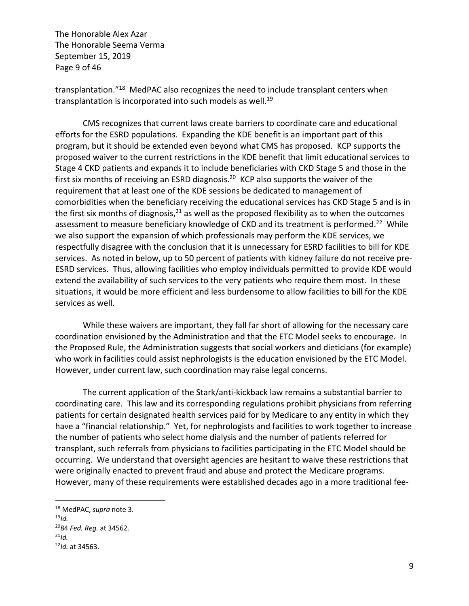The Honorable Alex Azar The Honorable Seema Verma September 15, 2019 Page 9 of 46

transplantation."18 MedPAC also recognizes the need to include transplant centers when transplantation is incorporated into such models as well.<sup>19</sup>

CMS recognizes that current laws create barriers to coordinate care and educational efforts for the ESRD populations. Expanding the KDE benefit is an important part of this program, but it should be extended even beyond what CMS has proposed. KCP supports the proposed waiver to the current restrictions in the KDE benefit that limit educational services to Stage 4 CKD patients and expands it to include beneficiaries with CKD Stage 5 and those in the first six months of receiving an ESRD diagnosis.<sup>20</sup> KCP also supports the waiver of the requirement that at least one of the KDE sessions be dedicated to management of comorbidities when the beneficiary receiving the educational services has CKD Stage 5 and is in the first six months of diagnosis, $21$  as well as the proposed flexibility as to when the outcomes assessment to measure beneficiary knowledge of CKD and its treatment is performed.<sup>22</sup> While we also support the expansion of which professionals may perform the KDE services, we respectfully disagree with the conclusion that it is unnecessary for ESRD facilities to bill for KDE services. As noted in below, up to 50 percent of patients with kidney failure do not receive pre-ESRD services. Thus, allowing facilities who employ individuals permitted to provide KDE would extend the availability of such services to the very patients who require them most. In these situations, it would be more efficient and less burdensome to allow facilities to bill for the KDE services as well.

While these waivers are important, they fall far short of allowing for the necessary care coordination envisioned by the Administration and that the ETC Model seeks to encourage. In the Proposed Rule, the Administration suggests that social workers and dieticians (for example) who work in facilities could assist nephrologists is the education envisioned by the ETC Model. However, under current law, such coordination may raise legal concerns.

The current application of the Stark/anti-kickback law remains a substantial barrier to coordinating care. This law and its corresponding regulations prohibit physicians from referring patients for certain designated health services paid for by Medicare to any entity in which they have a "financial relationship." Yet, for nephrologists and facilities to work together to increase the number of patients who select home dialysis and the number of patients referred for transplant, such referrals from physicians to facilities participating in the ETC Model should be occurring. We understand that oversight agencies are hesitant to waive these restrictions that were originally enacted to prevent fraud and abuse and protect the Medicare programs. However, many of these requirements were established decades ago in a more traditional fee-

<sup>18</sup> MedPAC, *supra* note 3. <sup>19</sup>*Id.* 2084 *Fed. Reg.* at 34562.

<sup>21</sup>*Id.* 22*Id.* at 34563.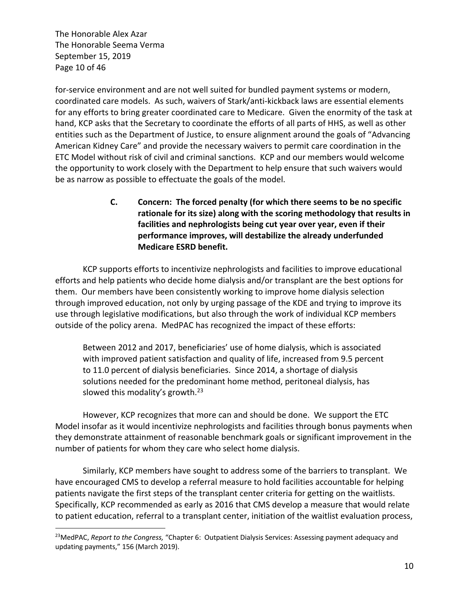The Honorable Alex Azar The Honorable Seema Verma September 15, 2019 Page 10 of 46

for-service environment and are not well suited for bundled payment systems or modern, coordinated care models. As such, waivers of Stark/anti-kickback laws are essential elements for any efforts to bring greater coordinated care to Medicare. Given the enormity of the task at hand, KCP asks that the Secretary to coordinate the efforts of all parts of HHS, as well as other entities such as the Department of Justice, to ensure alignment around the goals of "Advancing American Kidney Care" and provide the necessary waivers to permit care coordination in the ETC Model without risk of civil and criminal sanctions. KCP and our members would welcome the opportunity to work closely with the Department to help ensure that such waivers would be as narrow as possible to effectuate the goals of the model.

> **C. Concern: The forced penalty (for which there seems to be no specific rationale for its size) along with the scoring methodology that results in facilities and nephrologists being cut year over year, even if their performance improves, will destabilize the already underfunded Medicare ESRD benefit.**

KCP supports efforts to incentivize nephrologists and facilities to improve educational efforts and help patients who decide home dialysis and/or transplant are the best options for them. Our members have been consistently working to improve home dialysis selection through improved education, not only by urging passage of the KDE and trying to improve its use through legislative modifications, but also through the work of individual KCP members outside of the policy arena. MedPAC has recognized the impact of these efforts:

Between 2012 and 2017, beneficiaries' use of home dialysis, which is associated with improved patient satisfaction and quality of life, increased from 9.5 percent to 11.0 percent of dialysis beneficiaries. Since 2014, a shortage of dialysis solutions needed for the predominant home method, peritoneal dialysis, has slowed this modality's growth. $23$ 

However, KCP recognizes that more can and should be done. We support the ETC Model insofar as it would incentivize nephrologists and facilities through bonus payments when they demonstrate attainment of reasonable benchmark goals or significant improvement in the number of patients for whom they care who select home dialysis.

Similarly, KCP members have sought to address some of the barriers to transplant. We have encouraged CMS to develop a referral measure to hold facilities accountable for helping patients navigate the first steps of the transplant center criteria for getting on the waitlists. Specifically, KCP recommended as early as 2016 that CMS develop a measure that would relate to patient education, referral to a transplant center, initiation of the waitlist evaluation process,

<sup>23</sup>MedPAC, *Report to the Congress,* "Chapter 6: Outpatient Dialysis Services: Assessing payment adequacy and updating payments," 156 (March 2019).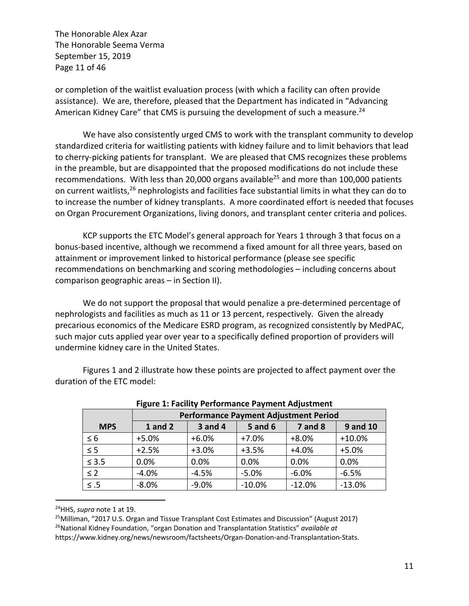The Honorable Alex Azar The Honorable Seema Verma September 15, 2019 Page 11 of 46

or completion of the waitlist evaluation process (with which a facility can often provide assistance). We are, therefore, pleased that the Department has indicated in "Advancing American Kidney Care" that CMS is pursuing the development of such a measure.<sup>24</sup>

We have also consistently urged CMS to work with the transplant community to develop standardized criteria for waitlisting patients with kidney failure and to limit behaviors that lead to cherry-picking patients for transplant. We are pleased that CMS recognizes these problems in the preamble, but are disappointed that the proposed modifications do not include these recommendations. With less than 20,000 organs available<sup>25</sup> and more than 100,000 patients on current waitlists,<sup>26</sup> nephrologists and facilities face substantial limits in what they can do to to increase the number of kidney transplants. A more coordinated effort is needed that focuses on Organ Procurement Organizations, living donors, and transplant center criteria and polices.

KCP supports the ETC Model's general approach for Years 1 through 3 that focus on a bonus-based incentive, although we recommend a fixed amount for all three years, based on attainment or improvement linked to historical performance (please see specific recommendations on benchmarking and scoring methodologies – including concerns about comparison geographic areas – in Section II).

We do not support the proposal that would penalize a pre-determined percentage of nephrologists and facilities as much as 11 or 13 percent, respectively. Given the already precarious economics of the Medicare ESRD program, as recognized consistently by MedPAC, such major cuts applied year over year to a specifically defined proportion of providers will undermine kidney care in the United States.

Figures 1 and 2 illustrate how these points are projected to affect payment over the duration of the ETC model:

|            | -<br><b>Performance Payment Adjustment Period</b> |         |                |             |                 |  |  |  |  |
|------------|---------------------------------------------------|---------|----------------|-------------|-----------------|--|--|--|--|
| <b>MPS</b> | <b>1</b> and 2                                    | 3 and 4 | <b>5 and 6</b> | $7$ and $8$ | <b>9 and 10</b> |  |  |  |  |
| $\leq 6$   | $+5.0%$                                           | $+6.0%$ | $+7.0%$        | $+8.0%$     | $+10.0%$        |  |  |  |  |
| $\leq$ 5   | $+2.5%$                                           | $+3.0%$ | $+3.5%$        | $+4.0%$     | $+5.0%$         |  |  |  |  |
| $\leq 3.5$ | 0.0%                                              | 0.0%    | 0.0%           | 0.0%        | 0.0%            |  |  |  |  |
| $\leq 2$   | $-4.0%$                                           | $-4.5%$ | $-5.0%$        | $-6.0%$     | $-6.5%$         |  |  |  |  |
| $\leq .5$  | $-8.0%$                                           | $-9.0%$ | $-10.0%$       | $-12.0%$    | $-13.0%$        |  |  |  |  |

**Figure 1: Facility Performance Payment Adjustment**

<sup>24</sup>HHS, *supra* note 1 at 19.

 $25$ Milliman, "2017 U.S. Organ and Tissue Transplant Cost Estimates and Discussion" (August 2017) 26National Kidney Foundation, "organ Donation and Transplantation Statistics" *available at* https://www.kidney.org/news/newsroom/factsheets/Organ-Donation-and-Transplantation-Stats.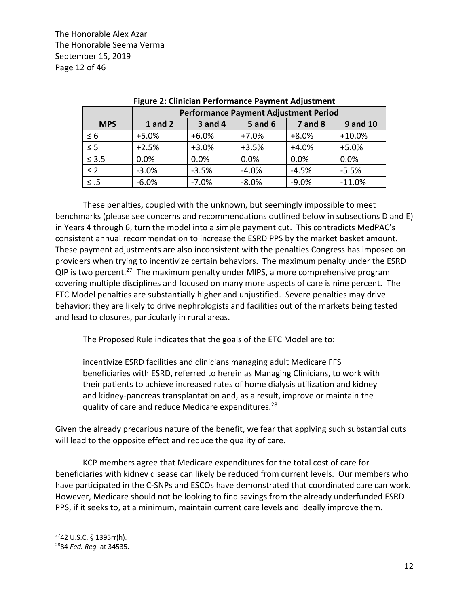The Honorable Alex Azar The Honorable Seema Verma September 15, 2019 Page 12 of 46

|                     | <b>Performance Payment Adjustment Period</b> |                |                |                |                 |  |  |  |  |
|---------------------|----------------------------------------------|----------------|----------------|----------------|-----------------|--|--|--|--|
| <b>MPS</b>          | $1$ and $2$                                  | <b>3 and 4</b> | <b>5 and 6</b> | <b>7 and 8</b> | <b>9 and 10</b> |  |  |  |  |
| $\leq 6$            | $+5.0%$                                      | $+6.0%$        | $+7.0%$        | $+8.0%$        | $+10.0%$        |  |  |  |  |
| $\overline{\leq 5}$ | $+2.5%$                                      | $+3.0%$        | $+3.5%$        | $+4.0%$        | $+5.0%$         |  |  |  |  |
| $\leq 3.5$          | 0.0%                                         | 0.0%           | 0.0%           | 0.0%           | 0.0%            |  |  |  |  |
| $\leq$ 2            | $-3.0%$                                      | $-3.5%$        | $-4.0%$        | $-4.5%$        | $-5.5%$         |  |  |  |  |
| $\leq .5$           | $-6.0%$                                      | $-7.0%$        | $-8.0%$        | $-9.0%$        | $-11.0%$        |  |  |  |  |

| Baufaussanan Barussaut Adiratusaut Baujad          |
|----------------------------------------------------|
| Figure 2: Clinician Performance Payment Adjustment |

These penalties, coupled with the unknown, but seemingly impossible to meet benchmarks (please see concerns and recommendations outlined below in subsections D and E) in Years 4 through 6, turn the model into a simple payment cut. This contradicts MedPAC's consistent annual recommendation to increase the ESRD PPS by the market basket amount. These payment adjustments are also inconsistent with the penalties Congress has imposed on providers when trying to incentivize certain behaviors. The maximum penalty under the ESRD  $QIP$  is two percent.<sup>27</sup> The maximum penalty under MIPS, a more comprehensive program covering multiple disciplines and focused on many more aspects of care is nine percent. The ETC Model penalties are substantially higher and unjustified. Severe penalties may drive behavior; they are likely to drive nephrologists and facilities out of the markets being tested and lead to closures, particularly in rural areas.

The Proposed Rule indicates that the goals of the ETC Model are to:

incentivize ESRD facilities and clinicians managing adult Medicare FFS beneficiaries with ESRD, referred to herein as Managing Clinicians, to work with their patients to achieve increased rates of home dialysis utilization and kidney and kidney-pancreas transplantation and, as a result, improve or maintain the quality of care and reduce Medicare expenditures.<sup>28</sup>

Given the already precarious nature of the benefit, we fear that applying such substantial cuts will lead to the opposite effect and reduce the quality of care.

KCP members agree that Medicare expenditures for the total cost of care for beneficiaries with kidney disease can likely be reduced from current levels. Our members who have participated in the C-SNPs and ESCOs have demonstrated that coordinated care can work. However, Medicare should not be looking to find savings from the already underfunded ESRD PPS, if it seeks to, at a minimum, maintain current care levels and ideally improve them.

<sup>2742</sup> U.S.C. § 1395rr(h).

<sup>2884</sup> *Fed. Reg.* at 34535.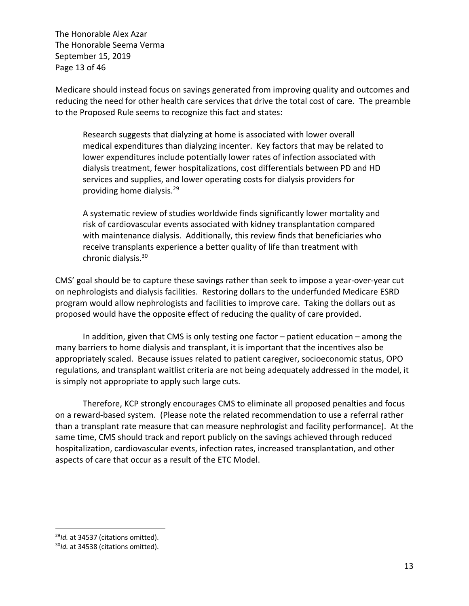The Honorable Alex Azar The Honorable Seema Verma September 15, 2019 Page 13 of 46

Medicare should instead focus on savings generated from improving quality and outcomes and reducing the need for other health care services that drive the total cost of care. The preamble to the Proposed Rule seems to recognize this fact and states:

Research suggests that dialyzing at home is associated with lower overall medical expenditures than dialyzing incenter. Key factors that may be related to lower expenditures include potentially lower rates of infection associated with dialysis treatment, fewer hospitalizations, cost differentials between PD and HD services and supplies, and lower operating costs for dialysis providers for providing home dialysis.29

A systematic review of studies worldwide finds significantly lower mortality and risk of cardiovascular events associated with kidney transplantation compared with maintenance dialysis. Additionally, this review finds that beneficiaries who receive transplants experience a better quality of life than treatment with chronic dialysis.30

CMS' goal should be to capture these savings rather than seek to impose a year-over-year cut on nephrologists and dialysis facilities. Restoring dollars to the underfunded Medicare ESRD program would allow nephrologists and facilities to improve care. Taking the dollars out as proposed would have the opposite effect of reducing the quality of care provided.

In addition, given that CMS is only testing one factor – patient education – among the many barriers to home dialysis and transplant, it is important that the incentives also be appropriately scaled. Because issues related to patient caregiver, socioeconomic status, OPO regulations, and transplant waitlist criteria are not being adequately addressed in the model, it is simply not appropriate to apply such large cuts.

Therefore, KCP strongly encourages CMS to eliminate all proposed penalties and focus on a reward-based system. (Please note the related recommendation to use a referral rather than a transplant rate measure that can measure nephrologist and facility performance). At the same time, CMS should track and report publicly on the savings achieved through reduced hospitalization, cardiovascular events, infection rates, increased transplantation, and other aspects of care that occur as a result of the ETC Model.

<sup>&</sup>lt;sup>29</sup>*Id.* at 34537 (citations omitted).<br><sup>30</sup>*Id.* at 34538 (citations omitted).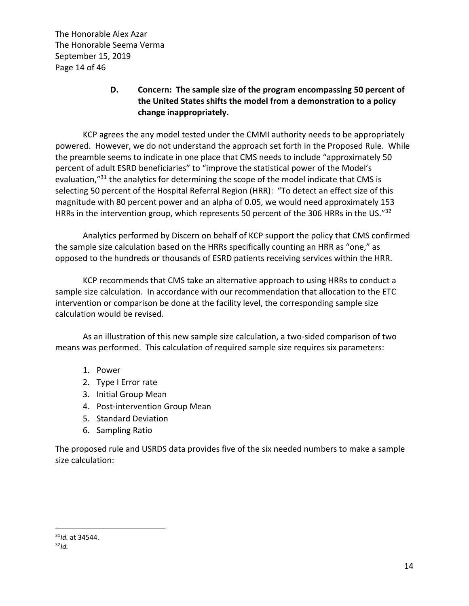The Honorable Alex Azar The Honorable Seema Verma September 15, 2019 Page 14 of 46

# **D. Concern: The sample size of the program encompassing 50 percent of the United States shifts the model from a demonstration to a policy change inappropriately.**

KCP agrees the any model tested under the CMMI authority needs to be appropriately powered. However, we do not understand the approach set forth in the Proposed Rule. While the preamble seems to indicate in one place that CMS needs to include "approximately 50 percent of adult ESRD beneficiaries" to "improve the statistical power of the Model's evaluation,"<sup>31</sup> the analytics for determining the scope of the model indicate that CMS is selecting 50 percent of the Hospital Referral Region (HRR): "To detect an effect size of this magnitude with 80 percent power and an alpha of 0.05, we would need approximately 153 HRRs in the intervention group, which represents 50 percent of the 306 HRRs in the US."32

Analytics performed by Discern on behalf of KCP support the policy that CMS confirmed the sample size calculation based on the HRRs specifically counting an HRR as "one," as opposed to the hundreds or thousands of ESRD patients receiving services within the HRR.

KCP recommends that CMS take an alternative approach to using HRRs to conduct a sample size calculation. In accordance with our recommendation that allocation to the ETC intervention or comparison be done at the facility level, the corresponding sample size calculation would be revised.

As an illustration of this new sample size calculation, a two-sided comparison of two means was performed. This calculation of required sample size requires six parameters:

- 1. Power
- 2. Type I Error rate
- 3. Initial Group Mean
- 4. Post-intervention Group Mean
- 5. Standard Deviation
- 6. Sampling Ratio

The proposed rule and USRDS data provides five of the six needed numbers to make a sample size calculation:

<sup>31</sup>*Id.* at 34544. 32*Id.*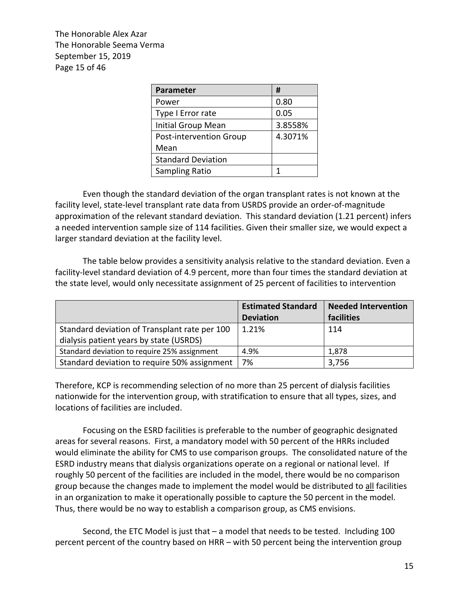The Honorable Alex Azar The Honorable Seema Verma September 15, 2019 Page 15 of 46

| <b>Parameter</b>          | #       |
|---------------------------|---------|
| Power                     | 0.80    |
| Type I Error rate         | 0.05    |
| Initial Group Mean        | 3.8558% |
| Post-intervention Group   | 4.3071% |
| Mean                      |         |
| <b>Standard Deviation</b> |         |
| Sampling Ratio            |         |

Even though the standard deviation of the organ transplant rates is not known at the facility level, state-level transplant rate data from USRDS provide an order-of-magnitude approximation of the relevant standard deviation. This standard deviation (1.21 percent) infers a needed intervention sample size of 114 facilities. Given their smaller size, we would expect a larger standard deviation at the facility level.

The table below provides a sensitivity analysis relative to the standard deviation. Even a facility-level standard deviation of 4.9 percent, more than four times the standard deviation at the state level, would only necessitate assignment of 25 percent of facilities to intervention

|                                               | <b>Estimated Standard</b> | <b>Needed Intervention</b> |
|-----------------------------------------------|---------------------------|----------------------------|
|                                               | <b>Deviation</b>          | facilities                 |
| Standard deviation of Transplant rate per 100 | 1.21%                     | 114                        |
| dialysis patient years by state (USRDS)       |                           |                            |
| Standard deviation to require 25% assignment  | 4.9%                      | 1.878                      |
| Standard deviation to require 50% assignment  | 7%                        | 3,756                      |

Therefore, KCP is recommending selection of no more than 25 percent of dialysis facilities nationwide for the intervention group, with stratification to ensure that all types, sizes, and locations of facilities are included.

Focusing on the ESRD facilities is preferable to the number of geographic designated areas for several reasons. First, a mandatory model with 50 percent of the HRRs included would eliminate the ability for CMS to use comparison groups. The consolidated nature of the ESRD industry means that dialysis organizations operate on a regional or national level. If roughly 50 percent of the facilities are included in the model, there would be no comparison group because the changes made to implement the model would be distributed to all facilities in an organization to make it operationally possible to capture the 50 percent in the model. Thus, there would be no way to establish a comparison group, as CMS envisions.

Second, the ETC Model is just that – a model that needs to be tested. Including 100 percent percent of the country based on HRR – with 50 percent being the intervention group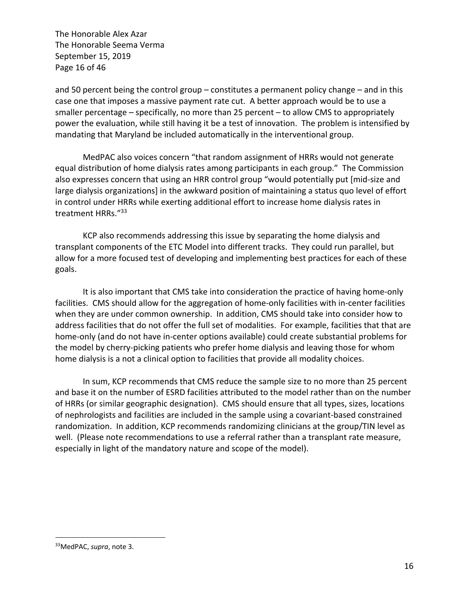The Honorable Alex Azar The Honorable Seema Verma September 15, 2019 Page 16 of 46

and 50 percent being the control group – constitutes a permanent policy change – and in this case one that imposes a massive payment rate cut. A better approach would be to use a smaller percentage – specifically, no more than 25 percent – to allow CMS to appropriately power the evaluation, while still having it be a test of innovation. The problem is intensified by mandating that Maryland be included automatically in the interventional group.

MedPAC also voices concern "that random assignment of HRRs would not generate equal distribution of home dialysis rates among participants in each group." The Commission also expresses concern that using an HRR control group "would potentially put [mid-size and large dialysis organizations] in the awkward position of maintaining a status quo level of effort in control under HRRs while exerting additional effort to increase home dialysis rates in treatment HRRs."<sup>33</sup>

KCP also recommends addressing this issue by separating the home dialysis and transplant components of the ETC Model into different tracks. They could run parallel, but allow for a more focused test of developing and implementing best practices for each of these goals.

It is also important that CMS take into consideration the practice of having home-only facilities. CMS should allow for the aggregation of home-only facilities with in-center facilities when they are under common ownership. In addition, CMS should take into consider how to address facilities that do not offer the full set of modalities. For example, facilities that that are home-only (and do not have in-center options available) could create substantial problems for the model by cherry-picking patients who prefer home dialysis and leaving those for whom home dialysis is a not a clinical option to facilities that provide all modality choices.

In sum, KCP recommends that CMS reduce the sample size to no more than 25 percent and base it on the number of ESRD facilities attributed to the model rather than on the number of HRRs (or similar geographic designation). CMS should ensure that all types, sizes, locations of nephrologists and facilities are included in the sample using a covariant-based constrained randomization. In addition, KCP recommends randomizing clinicians at the group/TIN level as well. (Please note recommendations to use a referral rather than a transplant rate measure, especially in light of the mandatory nature and scope of the model).

<sup>33</sup>MedPAC, *supra*, note 3.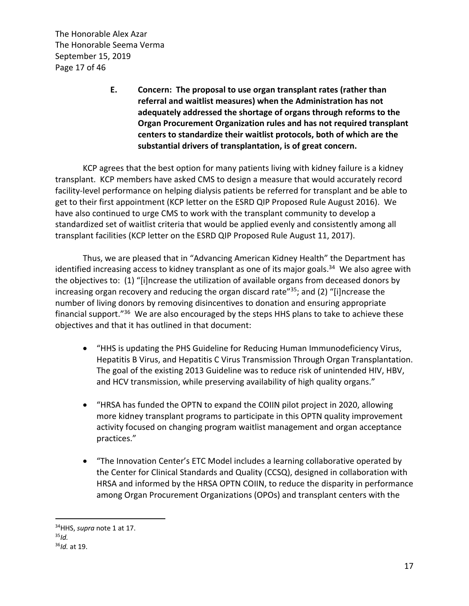The Honorable Alex Azar The Honorable Seema Verma September 15, 2019 Page 17 of 46

> **E. Concern: The proposal to use organ transplant rates (rather than referral and waitlist measures) when the Administration has not adequately addressed the shortage of organs through reforms to the Organ Procurement Organization rules and has not required transplant centers to standardize their waitlist protocols, both of which are the substantial drivers of transplantation, is of great concern.**

KCP agrees that the best option for many patients living with kidney failure is a kidney transplant. KCP members have asked CMS to design a measure that would accurately record facility-level performance on helping dialysis patients be referred for transplant and be able to get to their first appointment (KCP letter on the ESRD QIP Proposed Rule August 2016). We have also continued to urge CMS to work with the transplant community to develop a standardized set of waitlist criteria that would be applied evenly and consistently among all transplant facilities (KCP letter on the ESRD QIP Proposed Rule August 11, 2017).

Thus, we are pleased that in "Advancing American Kidney Health" the Department has identified increasing access to kidney transplant as one of its major goals.<sup>34</sup> We also agree with the objectives to: (1) "[i]ncrease the utilization of available organs from deceased donors by increasing organ recovery and reducing the organ discard rate<sup> $35$ </sup>; and (2) "[i]ncrease the number of living donors by removing disincentives to donation and ensuring appropriate financial support."36 We are also encouraged by the steps HHS plans to take to achieve these objectives and that it has outlined in that document:

- "HHS is updating the PHS Guideline for Reducing Human Immunodeficiency Virus, Hepatitis B Virus, and Hepatitis C Virus Transmission Through Organ Transplantation. The goal of the existing 2013 Guideline was to reduce risk of unintended HIV, HBV, and HCV transmission, while preserving availability of high quality organs."
- "HRSA has funded the OPTN to expand the COIIN pilot project in 2020, allowing more kidney transplant programs to participate in this OPTN quality improvement activity focused on changing program waitlist management and organ acceptance practices."
- "The Innovation Center's ETC Model includes a learning collaborative operated by the Center for Clinical Standards and Quality (CCSQ), designed in collaboration with HRSA and informed by the HRSA OPTN COIIN, to reduce the disparity in performance among Organ Procurement Organizations (OPOs) and transplant centers with the

<sup>34</sup>HHS, *supra* note 1 at 17. 35*Id.* <sup>36</sup>*Id.* at 19.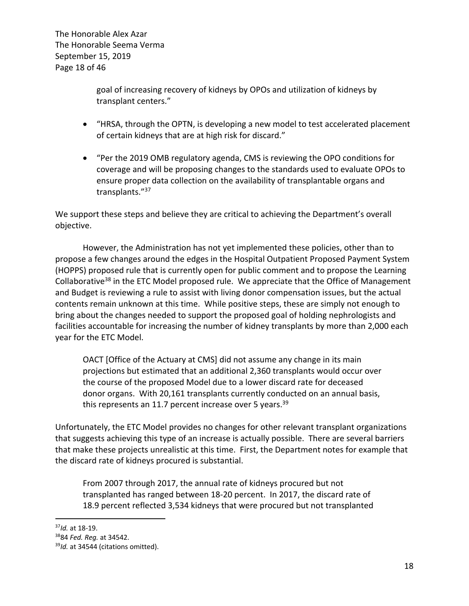The Honorable Alex Azar The Honorable Seema Verma September 15, 2019 Page 18 of 46

> goal of increasing recovery of kidneys by OPOs and utilization of kidneys by transplant centers."

- "HRSA, through the OPTN, is developing a new model to test accelerated placement of certain kidneys that are at high risk for discard."
- "Per the 2019 OMB regulatory agenda, CMS is reviewing the OPO conditions for coverage and will be proposing changes to the standards used to evaluate OPOs to ensure proper data collection on the availability of transplantable organs and transplants."37

We support these steps and believe they are critical to achieving the Department's overall objective.

However, the Administration has not yet implemented these policies, other than to propose a few changes around the edges in the Hospital Outpatient Proposed Payment System (HOPPS) proposed rule that is currently open for public comment and to propose the Learning Collaborative<sup>38</sup> in the ETC Model proposed rule. We appreciate that the Office of Management and Budget is reviewing a rule to assist with living donor compensation issues, but the actual contents remain unknown at this time. While positive steps, these are simply not enough to bring about the changes needed to support the proposed goal of holding nephrologists and facilities accountable for increasing the number of kidney transplants by more than 2,000 each year for the ETC Model.

OACT [Office of the Actuary at CMS] did not assume any change in its main projections but estimated that an additional 2,360 transplants would occur over the course of the proposed Model due to a lower discard rate for deceased donor organs. With 20,161 transplants currently conducted on an annual basis, this represents an 11.7 percent increase over 5 years.<sup>39</sup>

Unfortunately, the ETC Model provides no changes for other relevant transplant organizations that suggests achieving this type of an increase is actually possible. There are several barriers that make these projects unrealistic at this time. First, the Department notes for example that the discard rate of kidneys procured is substantial.

From 2007 through 2017, the annual rate of kidneys procured but not transplanted has ranged between 18-20 percent. In 2017, the discard rate of 18.9 percent reflected 3,534 kidneys that were procured but not transplanted

<sup>37</sup>*Id.* at 18-19. 3884 *Fed. Reg.* at 34542. 39*Id.* at 34544 (citations omitted).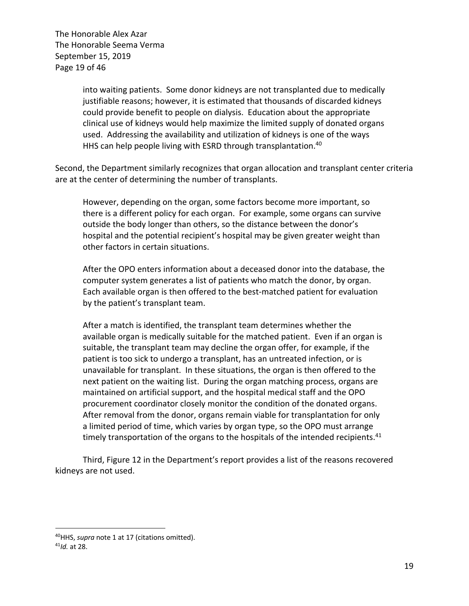The Honorable Alex Azar The Honorable Seema Verma September 15, 2019 Page 19 of 46

> into waiting patients. Some donor kidneys are not transplanted due to medically justifiable reasons; however, it is estimated that thousands of discarded kidneys could provide benefit to people on dialysis. Education about the appropriate clinical use of kidneys would help maximize the limited supply of donated organs used. Addressing the availability and utilization of kidneys is one of the ways HHS can help people living with ESRD through transplantation.<sup>40</sup>

Second, the Department similarly recognizes that organ allocation and transplant center criteria are at the center of determining the number of transplants.

However, depending on the organ, some factors become more important, so there is a different policy for each organ. For example, some organs can survive outside the body longer than others, so the distance between the donor's hospital and the potential recipient's hospital may be given greater weight than other factors in certain situations.

After the OPO enters information about a deceased donor into the database, the computer system generates a list of patients who match the donor, by organ. Each available organ is then offered to the best-matched patient for evaluation by the patient's transplant team.

After a match is identified, the transplant team determines whether the available organ is medically suitable for the matched patient. Even if an organ is suitable, the transplant team may decline the organ offer, for example, if the patient is too sick to undergo a transplant, has an untreated infection, or is unavailable for transplant. In these situations, the organ is then offered to the next patient on the waiting list. During the organ matching process, organs are maintained on artificial support, and the hospital medical staff and the OPO procurement coordinator closely monitor the condition of the donated organs. After removal from the donor, organs remain viable for transplantation for only a limited period of time, which varies by organ type, so the OPO must arrange timely transportation of the organs to the hospitals of the intended recipients. $41$ 

Third, Figure 12 in the Department's report provides a list of the reasons recovered kidneys are not used.

<sup>40</sup>HHS, *supra* note 1 at 17 (citations omitted). 41*Id.* at 28.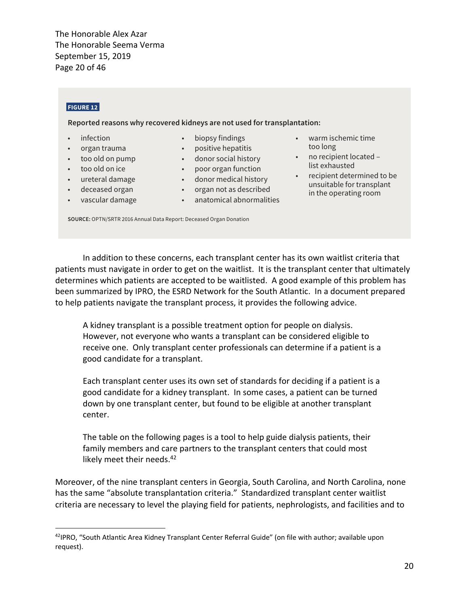donated organization organization from the donor, organization for the donor, organization for the donor, organization for only a lim-The Honorable Seema Verma **ited period of time, which varies by organ type, so the OPO must arrange time** September 15, 2019 Page 20 of 46 organis to the hospitals of the intended recipients. Figure 12 is a list of the reasons recovered kidneys recovered kidneys recovered kidneys recovered kidneys recovered kidneys recovered kidneys recovered kidneys recovere

#### **FIGURE 12**

**Reported reasons why recovered kidneys are not used for transplantation:** 

- infection
- organ trauma
- too old on pump
- too old on ice
- ureteral damage
- deceased organ
- vascular damage
- biopsy findings
- positive hepatitis
- donor social history
- poor organ function
- donor medical history
- organ not as described
- anatomical abnormalities
- warm ischemic time too long
- no recipient located list exhausted
- recipient determined to be unsuitable for transplant in the operating room

**SOURCE:** OPTN/SRTR 2016 Annual Data Report: Deceased Organ Donation

In addition to these concerns, each transplant center has its own waitlist criteria that patients must navigate in order to get on the waitlist. It is the transplant center that ultimately determines which patients are accepted to be waitlisted. A good example of this problem has been summarized by IPRO, the ESRD Network for the South Atlantic. In a document prepared to help patients navigate the transplant process, it provides the following advice.

A kidney transplant is a possible treatment option for people on dialysis. However, not everyone who wants a transplant can be considered eligible to receive one. Only transplant center professionals can determine if a patient is a good candidate for a transplant.

Each transplant center uses its own set of standards for deciding if a patient is a good candidate for a kidney transplant. In some cases, a patient can be turned down by one transplant center, but found to be eligible at another transplant center.

The table on the following pages is a tool to help guide dialysis patients, their family members and care partners to the transplant centers that could most likely meet their needs.<sup>42</sup>

Moreover, of the nine transplant centers in Georgia, South Carolina, and North Carolina, none has the same "absolute transplantation criteria." Standardized transplant center waitlist criteria are necessary to level the playing field for patients, nephrologists, and facilities and to

<sup>42</sup>IPRO, "South Atlantic Area Kidney Transplant Center Referral Guide" (on file with author; available upon request).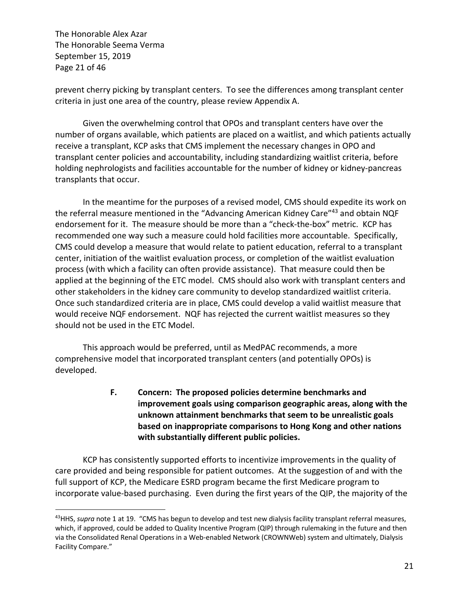The Honorable Alex Azar The Honorable Seema Verma September 15, 2019 Page 21 of 46

prevent cherry picking by transplant centers. To see the differences among transplant center criteria in just one area of the country, please review Appendix A.

Given the overwhelming control that OPOs and transplant centers have over the number of organs available, which patients are placed on a waitlist, and which patients actually receive a transplant, KCP asks that CMS implement the necessary changes in OPO and transplant center policies and accountability, including standardizing waitlist criteria, before holding nephrologists and facilities accountable for the number of kidney or kidney-pancreas transplants that occur.

In the meantime for the purposes of a revised model, CMS should expedite its work on the referral measure mentioned in the "Advancing American Kidney Care"<sup>43</sup> and obtain NQF endorsement for it. The measure should be more than a "check-the-box" metric. KCP has recommended one way such a measure could hold facilities more accountable. Specifically, CMS could develop a measure that would relate to patient education, referral to a transplant center, initiation of the waitlist evaluation process, or completion of the waitlist evaluation process (with which a facility can often provide assistance). That measure could then be applied at the beginning of the ETC model. CMS should also work with transplant centers and other stakeholders in the kidney care community to develop standardized waitlist criteria. Once such standardized criteria are in place, CMS could develop a valid waitlist measure that would receive NQF endorsement. NQF has rejected the current waitlist measures so they should not be used in the ETC Model.

This approach would be preferred, until as MedPAC recommends, a more comprehensive model that incorporated transplant centers (and potentially OPOs) is developed.

> **F. Concern: The proposed policies determine benchmarks and improvement goals using comparison geographic areas, along with the unknown attainment benchmarks that seem to be unrealistic goals based on inappropriate comparisons to Hong Kong and other nations with substantially different public policies.**

KCP has consistently supported efforts to incentivize improvements in the quality of care provided and being responsible for patient outcomes. At the suggestion of and with the full support of KCP, the Medicare ESRD program became the first Medicare program to incorporate value-based purchasing. Even during the first years of the QIP, the majority of the

<sup>43</sup>HHS, *supra* note 1 at 19. "CMS has begun to develop and test new dialysis facility transplant referral measures, which, if approved, could be added to Quality Incentive Program (QIP) through rulemaking in the future and then via the Consolidated Renal Operations in a Web-enabled Network (CROWNWeb) system and ultimately, Dialysis Facility Compare."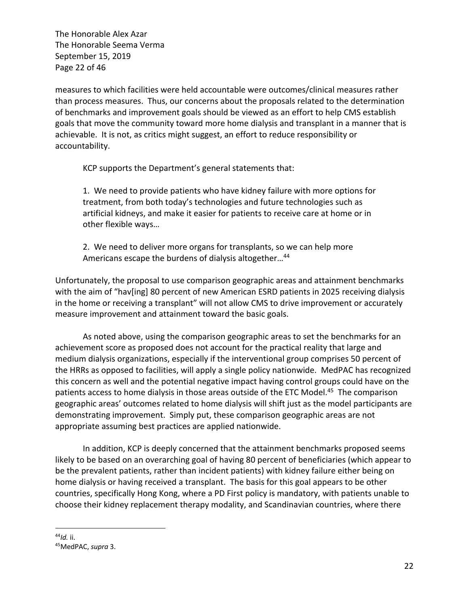The Honorable Alex Azar The Honorable Seema Verma September 15, 2019 Page 22 of 46

measures to which facilities were held accountable were outcomes/clinical measures rather than process measures. Thus, our concerns about the proposals related to the determination of benchmarks and improvement goals should be viewed as an effort to help CMS establish goals that move the community toward more home dialysis and transplant in a manner that is achievable. It is not, as critics might suggest, an effort to reduce responsibility or accountability.

KCP supports the Department's general statements that:

1. We need to provide patients who have kidney failure with more options for treatment, from both today's technologies and future technologies such as artificial kidneys, and make it easier for patients to receive care at home or in other flexible ways…

2. We need to deliver more organs for transplants, so we can help more Americans escape the burdens of dialysis altogether...<sup>44</sup>

Unfortunately, the proposal to use comparison geographic areas and attainment benchmarks with the aim of "hav[ing] 80 percent of new American ESRD patients in 2025 receiving dialysis in the home or receiving a transplant" will not allow CMS to drive improvement or accurately measure improvement and attainment toward the basic goals.

As noted above, using the comparison geographic areas to set the benchmarks for an achievement score as proposed does not account for the practical reality that large and medium dialysis organizations, especially if the interventional group comprises 50 percent of the HRRs as opposed to facilities, will apply a single policy nationwide. MedPAC has recognized this concern as well and the potential negative impact having control groups could have on the patients access to home dialysis in those areas outside of the ETC Model.<sup>45</sup> The comparison geographic areas' outcomes related to home dialysis will shift just as the model participants are demonstrating improvement. Simply put, these comparison geographic areas are not appropriate assuming best practices are applied nationwide.

In addition, KCP is deeply concerned that the attainment benchmarks proposed seems likely to be based on an overarching goal of having 80 percent of beneficiaries (which appear to be the prevalent patients, rather than incident patients) with kidney failure either being on home dialysis or having received a transplant. The basis for this goal appears to be other countries, specifically Hong Kong, where a PD First policy is mandatory, with patients unable to choose their kidney replacement therapy modality, and Scandinavian countries, where there

<sup>44</sup>*Id.* ii. 45MedPAC, *supra* 3.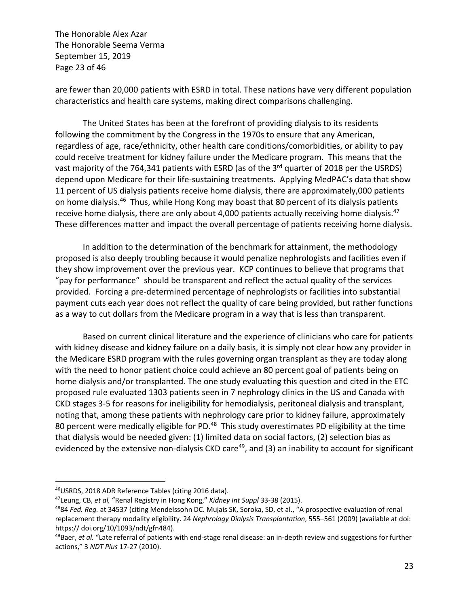The Honorable Alex Azar The Honorable Seema Verma September 15, 2019 Page 23 of 46

are fewer than 20,000 patients with ESRD in total. These nations have very different population characteristics and health care systems, making direct comparisons challenging.

The United States has been at the forefront of providing dialysis to its residents following the commitment by the Congress in the 1970s to ensure that any American, regardless of age, race/ethnicity, other health care conditions/comorbidities, or ability to pay could receive treatment for kidney failure under the Medicare program. This means that the vast majority of the 764,341 patients with ESRD (as of the 3<sup>rd</sup> quarter of 2018 per the USRDS) depend upon Medicare for their life-sustaining treatments. Applying MedPAC's data that show 11 percent of US dialysis patients receive home dialysis, there are approximately,000 patients on home dialysis.46 Thus, while Hong Kong may boast that 80 percent of its dialysis patients receive home dialysis, there are only about 4,000 patients actually receiving home dialysis. $47$ These differences matter and impact the overall percentage of patients receiving home dialysis.

In addition to the determination of the benchmark for attainment, the methodology proposed is also deeply troubling because it would penalize nephrologists and facilities even if they show improvement over the previous year. KCP continues to believe that programs that "pay for performance" should be transparent and reflect the actual quality of the services provided. Forcing a pre-determined percentage of nephrologists or facilities into substantial payment cuts each year does not reflect the quality of care being provided, but rather functions as a way to cut dollars from the Medicare program in a way that is less than transparent.

Based on current clinical literature and the experience of clinicians who care for patients with kidney disease and kidney failure on a daily basis, it is simply not clear how any provider in the Medicare ESRD program with the rules governing organ transplant as they are today along with the need to honor patient choice could achieve an 80 percent goal of patients being on home dialysis and/or transplanted. The one study evaluating this question and cited in the ETC proposed rule evaluated 1303 patients seen in 7 nephrology clinics in the US and Canada with CKD stages 3-5 for reasons for ineligibility for hemodialysis, peritoneal dialysis and transplant, noting that, among these patients with nephrology care prior to kidney failure, approximately 80 percent were medically eligible for PD.<sup>48</sup> This study overestimates PD eligibility at the time that dialysis would be needed given: (1) limited data on social factors, (2) selection bias as evidenced by the extensive non-dialysis CKD care<sup>49</sup>, and (3) an inability to account for significant

<sup>&</sup>lt;sup>46</sup>USRDS, 2018 ADR Reference Tables (citing 2016 data).<br><sup>47</sup>Leung, CB, *et al,* "Renal Registry in Hong Kong," *Kidney Int Suppl* 33-38 (2015).<br><sup>48</sup>84 *Fed. Req.* at 34537 (citing Mendelssohn DC. Mujais SK, Soroka, SD, et replacement therapy modality eligibility. 24 *Nephrology Dialysis Transplantation*, 555–561 (2009) (available at doi: https:// doi.org/10/1093/ndt/gfn484).

<sup>49</sup>Baer, *et al.* "Late referral of patients with end-stage renal disease: an in-depth review and suggestions for further actions," 3 *NDT Plus* 17-27 (2010).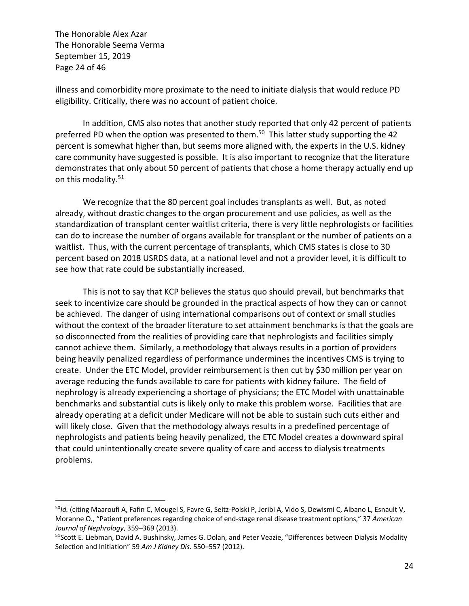The Honorable Alex Azar The Honorable Seema Verma September 15, 2019 Page 24 of 46

illness and comorbidity more proximate to the need to initiate dialysis that would reduce PD eligibility. Critically, there was no account of patient choice.

In addition, CMS also notes that another study reported that only 42 percent of patients preferred PD when the option was presented to them.<sup>50</sup> This latter study supporting the 42 percent is somewhat higher than, but seems more aligned with, the experts in the U.S. kidney care community have suggested is possible. It is also important to recognize that the literature demonstrates that only about 50 percent of patients that chose a home therapy actually end up on this modality.<sup>51</sup>

We recognize that the 80 percent goal includes transplants as well. But, as noted already, without drastic changes to the organ procurement and use policies, as well as the standardization of transplant center waitlist criteria, there is very little nephrologists or facilities can do to increase the number of organs available for transplant or the number of patients on a waitlist. Thus, with the current percentage of transplants, which CMS states is close to 30 percent based on 2018 USRDS data, at a national level and not a provider level, it is difficult to see how that rate could be substantially increased.

This is not to say that KCP believes the status quo should prevail, but benchmarks that seek to incentivize care should be grounded in the practical aspects of how they can or cannot be achieved. The danger of using international comparisons out of context or small studies without the context of the broader literature to set attainment benchmarks is that the goals are so disconnected from the realities of providing care that nephrologists and facilities simply cannot achieve them. Similarly, a methodology that always results in a portion of providers being heavily penalized regardless of performance undermines the incentives CMS is trying to create. Under the ETC Model, provider reimbursement is then cut by \$30 million per year on average reducing the funds available to care for patients with kidney failure. The field of nephrology is already experiencing a shortage of physicians; the ETC Model with unattainable benchmarks and substantial cuts is likely only to make this problem worse. Facilities that are already operating at a deficit under Medicare will not be able to sustain such cuts either and will likely close. Given that the methodology always results in a predefined percentage of nephrologists and patients being heavily penalized, the ETC Model creates a downward spiral that could unintentionally create severe quality of care and access to dialysis treatments problems.

<sup>50</sup>*Id.* (citing Maaroufi A, Fafin C, Mougel S, Favre G, Seitz-Polski P, Jeribi A, Vido S, Dewismi C, Albano L, Esnault V, Moranne O., "Patient preferences regarding choice of end-stage renal disease treatment options," 37 *American Journal of Nephrology*, 359–369 (2013).

<sup>51</sup>Scott E. Liebman, David A. Bushinsky, James G. Dolan, and Peter Veazie, "Differences between Dialysis Modality Selection and Initiation" 59 *Am J Kidney Dis.* 550–557 (2012).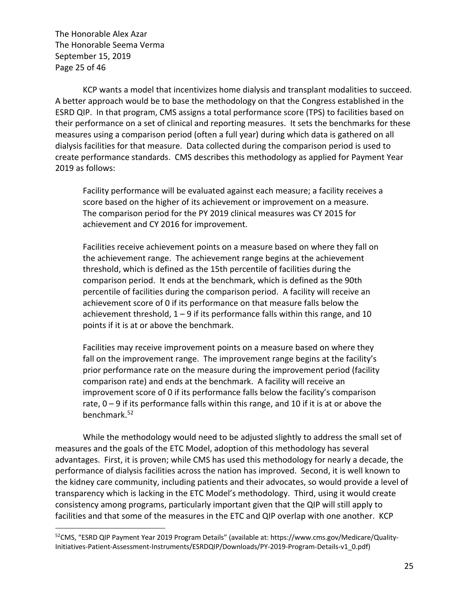The Honorable Alex Azar The Honorable Seema Verma September 15, 2019 Page 25 of 46

KCP wants a model that incentivizes home dialysis and transplant modalities to succeed. A better approach would be to base the methodology on that the Congress established in the ESRD QIP. In that program, CMS assigns a total performance score (TPS) to facilities based on their performance on a set of clinical and reporting measures. It sets the benchmarks for these measures using a comparison period (often a full year) during which data is gathered on all dialysis facilities for that measure. Data collected during the comparison period is used to create performance standards. CMS describes this methodology as applied for Payment Year 2019 as follows:

Facility performance will be evaluated against each measure; a facility receives a score based on the higher of its achievement or improvement on a measure. The comparison period for the PY 2019 clinical measures was CY 2015 for achievement and CY 2016 for improvement.

Facilities receive achievement points on a measure based on where they fall on the achievement range. The achievement range begins at the achievement threshold, which is defined as the 15th percentile of facilities during the comparison period. It ends at the benchmark, which is defined as the 90th percentile of facilities during the comparison period. A facility will receive an achievement score of 0 if its performance on that measure falls below the achievement threshold,  $1 - 9$  if its performance falls within this range, and 10 points if it is at or above the benchmark.

Facilities may receive improvement points on a measure based on where they fall on the improvement range. The improvement range begins at the facility's prior performance rate on the measure during the improvement period (facility comparison rate) and ends at the benchmark. A facility will receive an improvement score of 0 if its performance falls below the facility's comparison rate,  $0 - 9$  if its performance falls within this range, and 10 if it is at or above the benchmark.52

While the methodology would need to be adjusted slightly to address the small set of measures and the goals of the ETC Model, adoption of this methodology has several advantages. First, it is proven; while CMS has used this methodology for nearly a decade, the performance of dialysis facilities across the nation has improved. Second, it is well known to the kidney care community, including patients and their advocates, so would provide a level of transparency which is lacking in the ETC Model's methodology. Third, using it would create consistency among programs, particularly important given that the QIP will still apply to facilities and that some of the measures in the ETC and QIP overlap with one another. KCP

<sup>52</sup>CMS, "ESRD QIP Payment Year 2019 Program Details" (available at: https://www.cms.gov/Medicare/Quality-Initiatives-Patient-Assessment-Instruments/ESRDQIP/Downloads/PY-2019-Program-Details-v1\_0.pdf)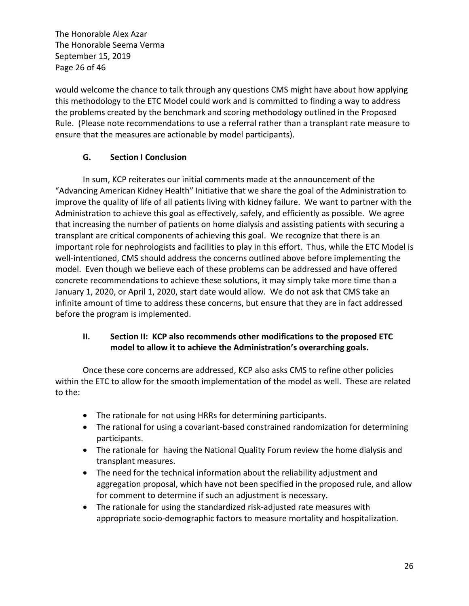The Honorable Alex Azar The Honorable Seema Verma September 15, 2019 Page 26 of 46

would welcome the chance to talk through any questions CMS might have about how applying this methodology to the ETC Model could work and is committed to finding a way to address the problems created by the benchmark and scoring methodology outlined in the Proposed Rule. (Please note recommendations to use a referral rather than a transplant rate measure to ensure that the measures are actionable by model participants).

## **G. Section I Conclusion**

In sum, KCP reiterates our initial comments made at the announcement of the "Advancing American Kidney Health" Initiative that we share the goal of the Administration to improve the quality of life of all patients living with kidney failure. We want to partner with the Administration to achieve this goal as effectively, safely, and efficiently as possible. We agree that increasing the number of patients on home dialysis and assisting patients with securing a transplant are critical components of achieving this goal. We recognize that there is an important role for nephrologists and facilities to play in this effort. Thus, while the ETC Model is well-intentioned, CMS should address the concerns outlined above before implementing the model. Even though we believe each of these problems can be addressed and have offered concrete recommendations to achieve these solutions, it may simply take more time than a January 1, 2020, or April 1, 2020, start date would allow. We do not ask that CMS take an infinite amount of time to address these concerns, but ensure that they are in fact addressed before the program is implemented.

## **II. Section II: KCP also recommends other modifications to the proposed ETC model to allow it to achieve the Administration's overarching goals.**

Once these core concerns are addressed, KCP also asks CMS to refine other policies within the ETC to allow for the smooth implementation of the model as well. These are related to the:

- The rationale for not using HRRs for determining participants.
- The rational for using a covariant-based constrained randomization for determining participants.
- The rationale for having the National Quality Forum review the home dialysis and transplant measures.
- The need for the technical information about the reliability adjustment and aggregation proposal, which have not been specified in the proposed rule, and allow for comment to determine if such an adjustment is necessary.
- The rationale for using the standardized risk-adjusted rate measures with appropriate socio-demographic factors to measure mortality and hospitalization.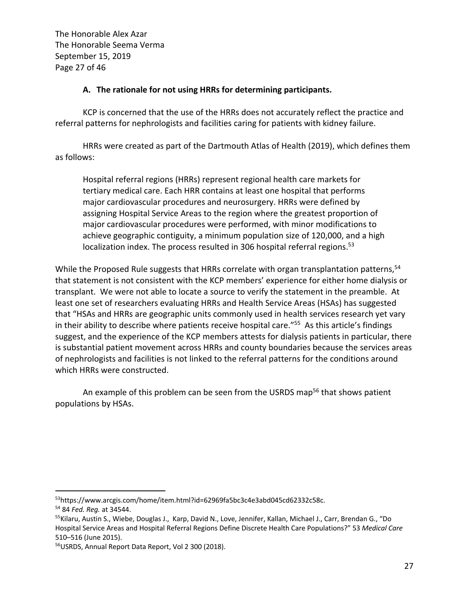The Honorable Alex Azar The Honorable Seema Verma September 15, 2019 Page 27 of 46

### **A. The rationale for not using HRRs for determining participants.**

KCP is concerned that the use of the HRRs does not accurately reflect the practice and referral patterns for nephrologists and facilities caring for patients with kidney failure.

HRRs were created as part of the Dartmouth Atlas of Health (2019), which defines them as follows:

Hospital referral regions (HRRs) represent regional health care markets for tertiary medical care. Each HRR contains at least one hospital that performs major cardiovascular procedures and neurosurgery. HRRs were defined by assigning Hospital Service Areas to the region where the greatest proportion of major cardiovascular procedures were performed, with minor modifications to achieve geographic contiguity, a minimum population size of 120,000, and a high localization index. The process resulted in 306 hospital referral regions.<sup>53</sup>

While the Proposed Rule suggests that HRRs correlate with organ transplantation patterns,<sup>54</sup> that statement is not consistent with the KCP members' experience for either home dialysis or transplant. We were not able to locate a source to verify the statement in the preamble. At least one set of researchers evaluating HRRs and Health Service Areas (HSAs) has suggested that "HSAs and HRRs are geographic units commonly used in health services research yet vary in their ability to describe where patients receive hospital care."<sup>55</sup> As this article's findings suggest, and the experience of the KCP members attests for dialysis patients in particular, there is substantial patient movement across HRRs and county boundaries because the services areas of nephrologists and facilities is not linked to the referral patterns for the conditions around which HRRs were constructed.

An example of this problem can be seen from the USRDS map<sup>56</sup> that shows patient populations by HSAs.

<sup>53</sup>https://www.arcgis.com/home/item.html?id=62969fa5bc3c4e3abd045cd62332c58c. 54 <sup>84</sup>*Fed. Reg.* at 34544.

<sup>&</sup>lt;sup>55</sup>Kilaru, Austin S., Wiebe, Douglas J., Karp, David N., Love, Jennifer, Kallan, Michael J., Carr, Brendan G., "Do Hospital Service Areas and Hospital Referral Regions Define Discrete Health Care Populations?" 53 *Medical Care* 510–516 (June 2015).<br><sup>56</sup>USRDS, Annual Report Data Report, Vol 2 300 (2018).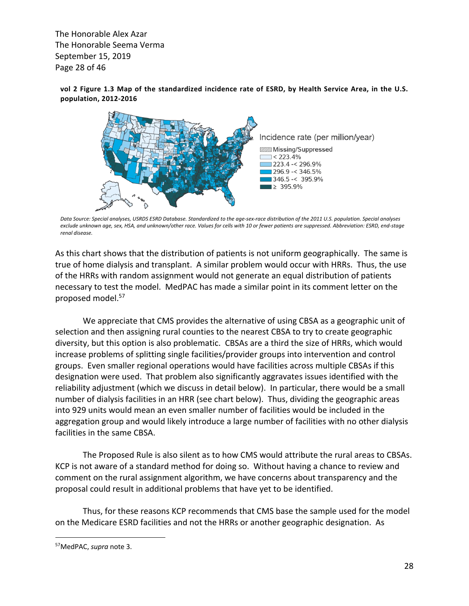The Honorable Alex Azar The Honorable Seema Verma September 15, 2019 expressive range is also and the response of  $46$  $\frac{1}{2}$  and  $\frac{1}{2}$  and  $\frac{1}{2}$  and  $\frac{1}{2}$  and  $\frac{1}{2}$  and  $\frac{1}{2}$  and  $\frac{1}{2}$  and  $\frac{1}{2}$  and  $\frac{1}{2}$  and  $\frac{1}{2}$  and  $\frac{1}{2}$  and  $\frac{1}{2}$  and  $\frac{1}{2}$  and  $\frac{1}{2}$  and  $\frac{1}{2}$  and  $\frac{1}{2}$  a

**vol 2 Figure 1.3 Map of the standardized incidence rate of ESRD, by Health Service Area, in the U.S. population, 2012-2016**



*Data Source: Special analyses, USRDS ESRD Database. Standardized to the age-sex-race distribution of the 2011 U.S. population. Special analyses exclude unknown age, sex, HSA, and unknown/other race. Values for cells with 10 or fewer patients are suppressed. Abbreviation: ESRD, end-stage renal disease.*

As this chart shows that the distribution of patients is not uniform geographically. The same is **Incidence Rate: By Age** true of home dialysis and transplant. A similar problem would occur with HRRs. Thus, the use of the HRRs with random assignment would not generate an equal distribution of patients or the rimns with random assignment would not generate an equal distribution or patients proposed model.57 groups, and the interest of the decline somewhat since 2010  $\epsilon$  $\frac{1}{2}$  or older persons  $\frac{1}{2}$ .

We appreciate that CMS provides the alternative of using CBSA as a geographic unit of selection and then assigning rural counties to the nearest CBSA to try to create geographic diversity, but this option is also problematic. CBSAs are a third the size of HRRs, which would increase problems of splitting single facilities/provider groups into intervention and control groups. Even smaller regional operations would have facilities across multiple CBSAs if this designation were used. That problem also significantly aggravates issues identified with the reliability adjustment (which we discuss in detail below). In particular, there would be a small number of dialysis facilities in an HRR (see chart below). Thus, dividing the geographic areas into 929 units would mean an even smaller number of facilities would be included in the aggregation group and would likely introduce a large number of facilities with no other dialysis facilities in the same CBSA.

The Proposed Rule is also silent as to how CMS would attribute the rural areas to CBSAs. KCP is not aware of a standard method for doing so. Without having a chance to review and comment on the rural assignment algorithm, we have concerns about transparency and the proposal could result in additional problems that have yet to be identified.

Thus, for these reasons KCP recommends that CMS base the sample used for the model on the Medicare ESRD facilities and not the HRRs or another geographic designation. As

<sup>57</sup>MedPAC, *supra* note 3.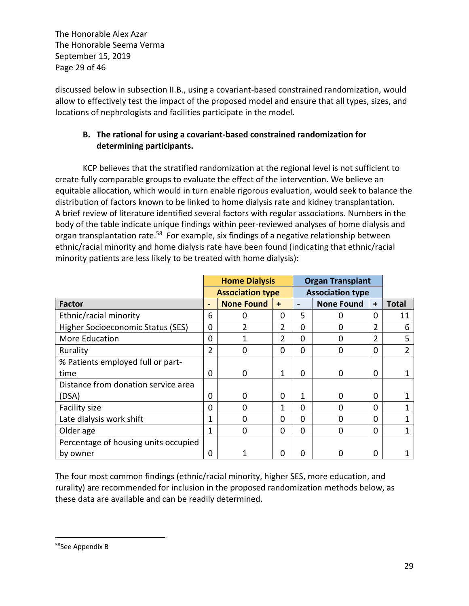The Honorable Alex Azar The Honorable Seema Verma September 15, 2019 Page 29 of 46

discussed below in subsection II.B., using a covariant-based constrained randomization, would allow to effectively test the impact of the proposed model and ensure that all types, sizes, and locations of nephrologists and facilities participate in the model.

# **B. The rational for using a covariant-based constrained randomization for determining participants.**

KCP believes that the stratified randomization at the regional level is not sufficient to create fully comparable groups to evaluate the effect of the intervention. We believe an equitable allocation, which would in turn enable rigorous evaluation, would seek to balance the distribution of factors known to be linked to home dialysis rate and kidney transplantation. A brief review of literature identified several factors with regular associations. Numbers in the body of the table indicate unique findings within peer-reviewed analyses of home dialysis and organ transplantation rate.<sup>58</sup> For example, six findings of a negative relationship between ethnic/racial minority and home dialysis rate have been found (indicating that ethnic/racial minority patients are less likely to be treated with home dialysis):

|                                      |                         | <b>Home Dialysis</b> |           | <b>Organ Transplant</b> |                         |                |              |  |
|--------------------------------------|-------------------------|----------------------|-----------|-------------------------|-------------------------|----------------|--------------|--|
|                                      | <b>Association type</b> |                      |           |                         | <b>Association type</b> |                |              |  |
| <b>Factor</b>                        |                         | <b>None Found</b>    | $\ddot{}$ | $\blacksquare$          | <b>None Found</b>       | $\ddot{}$      | <b>Total</b> |  |
| Ethnic/racial minority               | 6                       | 0                    | 0         | 5                       | 0                       | 0              | 11           |  |
| Higher Socioeconomic Status (SES)    | 0                       | $\mathfrak z$        | 2         | 0                       | O                       | 2              | 6            |  |
| More Education                       | 0                       |                      | 2         | 0                       | 0                       | $\overline{2}$ | 5            |  |
| Rurality                             | $\overline{2}$          | 0                    | $\Omega$  | 0                       | 0                       | 0              | 2            |  |
| % Patients employed full or part-    |                         |                      |           |                         |                         |                |              |  |
| time                                 | 0                       | $\Omega$             | 1         | 0                       | 0                       | 0              |              |  |
| Distance from donation service area  |                         |                      |           |                         |                         |                |              |  |
| (DSA)                                | $\Omega$                | $\Omega$             | 0         | 1                       | O                       | 0              |              |  |
| Facility size                        | $\Omega$                | 0                    | 1         | 0                       | O                       | $\Omega$       |              |  |
| Late dialysis work shift             | 1                       | $\Omega$             | $\Omega$  | 0                       | O                       | $\Omega$       |              |  |
| Older age                            | 1                       | $\Omega$             | 0         | $\Omega$                | 0                       | 0              |              |  |
| Percentage of housing units occupied |                         |                      |           |                         |                         |                |              |  |
| by owner                             | 0                       |                      | n         | O                       | O                       | 0              |              |  |

The four most common findings (ethnic/racial minority, higher SES, more education, and rurality) are recommended for inclusion in the proposed randomization methods below, as these data are available and can be readily determined.

<sup>58</sup>See Appendix B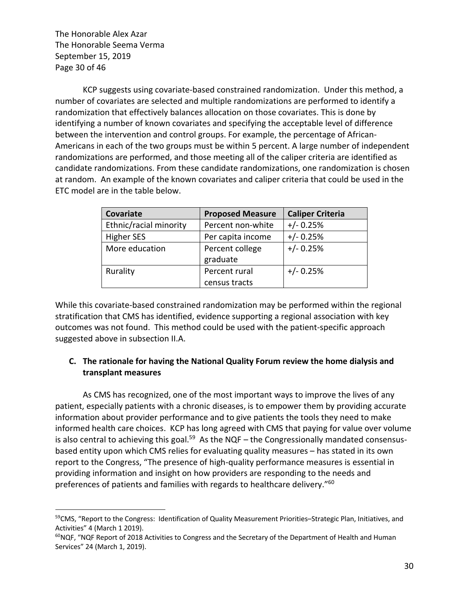The Honorable Alex Azar The Honorable Seema Verma September 15, 2019 Page 30 of 46

KCP suggests using covariate-based constrained randomization. Under this method, a number of covariates are selected and multiple randomizations are performed to identify a randomization that effectively balances allocation on those covariates. This is done by identifying a number of known covariates and specifying the acceptable level of difference between the intervention and control groups. For example, the percentage of African-Americans in each of the two groups must be within 5 percent. A large number of independent randomizations are performed, and those meeting all of the caliper criteria are identified as candidate randomizations. From these candidate randomizations, one randomization is chosen at random. An example of the known covariates and caliper criteria that could be used in the ETC model are in the table below.

| Covariate              | <b>Proposed Measure</b> | <b>Caliper Criteria</b> |
|------------------------|-------------------------|-------------------------|
| Ethnic/racial minority | Percent non-white       | $+/- 0.25%$             |
| <b>Higher SES</b>      | Per capita income       | $+/- 0.25%$             |
| More education         | Percent college         | $+/- 0.25%$             |
|                        | graduate                |                         |
| Rurality               | Percent rural           | $+/- 0.25%$             |
|                        | census tracts           |                         |

While this covariate-based constrained randomization may be performed within the regional stratification that CMS has identified, evidence supporting a regional association with key outcomes was not found. This method could be used with the patient-specific approach suggested above in subsection II.A.

## **C. The rationale for having the National Quality Forum review the home dialysis and transplant measures**

As CMS has recognized, one of the most important ways to improve the lives of any patient, especially patients with a chronic diseases, is to empower them by providing accurate information about provider performance and to give patients the tools they need to make informed health care choices. KCP has long agreed with CMS that paying for value over volume is also central to achieving this goal.<sup>59</sup> As the NQF – the Congressionally mandated consensusbased entity upon which CMS relies for evaluating quality measures – has stated in its own report to the Congress, "The presence of high-quality performance measures is essential in providing information and insight on how providers are responding to the needs and preferences of patients and families with regards to healthcare delivery."60

<sup>&</sup>lt;sup>59</sup>CMS, "Report to the Congress: Identification of Quality Measurement Priorities–Strategic Plan, Initiatives, and Activities" 4 (March 1 2019).

<sup>&</sup>lt;sup>60</sup>NQF, "NQF Report of 2018 Activities to Congress and the Secretary of the Department of Health and Human Services" 24 (March 1, 2019).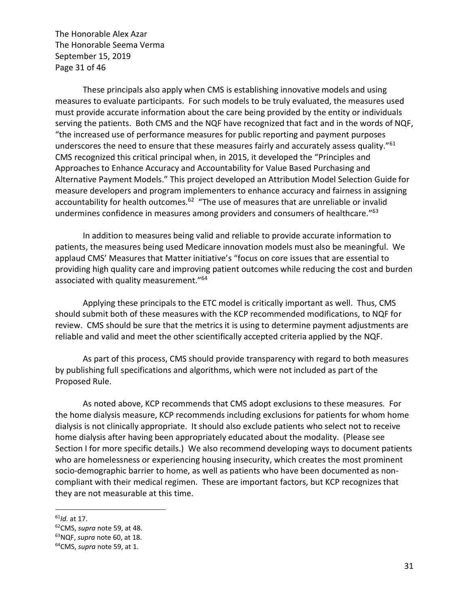The Honorable Alex Azar The Honorable Seema Verma September 15, 2019 Page 31 of 46

These principals also apply when CMS is establishing innovative models and using measures to evaluate participants. For such models to be truly evaluated, the measures used must provide accurate information about the care being provided by the entity or individuals serving the patients. Both CMS and the NQF have recognized that fact and in the words of NQF, "the increased use of performance measures for public reporting and payment purposes underscores the need to ensure that these measures fairly and accurately assess quality."<sup>61</sup> CMS recognized this critical principal when, in 2015, it developed the "Principles and Approaches to Enhance Accuracy and Accountability for Value Based Purchasing and Alternative Payment Models." This project developed an Attribution Model Selection Guide for measure developers and program implementers to enhance accuracy and fairness in assigning accountability for health outcomes.<sup>62</sup> "The use of measures that are unreliable or invalid undermines confidence in measures among providers and consumers of healthcare."63

In addition to measures being valid and reliable to provide accurate information to patients, the measures being used Medicare innovation models must also be meaningful. We applaud CMS' Measures that Matter initiative's "focus on core issues that are essential to providing high quality care and improving patient outcomes while reducing the cost and burden associated with quality measurement."64

Applying these principals to the ETC model is critically important as well. Thus, CMS should submit both of these measures with the KCP recommended modifications, to NQF for review. CMS should be sure that the metrics it is using to determine payment adjustments are reliable and valid and meet the other scientifically accepted criteria applied by the NQF.

As part of this process, CMS should provide transparency with regard to both measures by publishing full specifications and algorithms, which were not included as part of the Proposed Rule.

As noted above, KCP recommends that CMS adopt exclusions to these measures. For the home dialysis measure, KCP recommends including exclusions for patients for whom home dialysis is not clinically appropriate. It should also exclude patients who select not to receive home dialysis after having been appropriately educated about the modality. (Please see Section I for more specific details.) We also recommend developing ways to document patients who are homelessness or experiencing housing insecurity, which creates the most prominent socio-demographic barrier to home, as well as patients who have been documented as noncompliant with their medical regimen. These are important factors, but KCP recognizes that they are not measurable at this time.

<sup>&</sup>lt;sup>61</sup>*Id.* at 17.<br><sup>62</sup>CMS, *supra* note 59, at 48.<br><sup>63</sup>NQF, *supra* note 59, at 1.<br><sup>64</sup>CMS, *supra* note 59, at 1.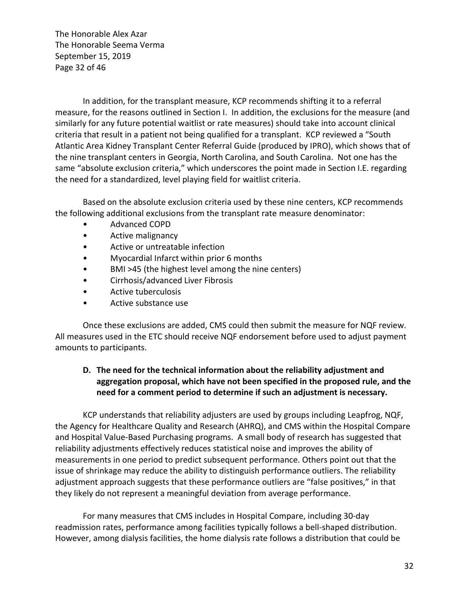The Honorable Alex Azar The Honorable Seema Verma September 15, 2019 Page 32 of 46

In addition, for the transplant measure, KCP recommends shifting it to a referral measure, for the reasons outlined in Section I. In addition, the exclusions for the measure (and similarly for any future potential waitlist or rate measures) should take into account clinical criteria that result in a patient not being qualified for a transplant. KCP reviewed a "South Atlantic Area Kidney Transplant Center Referral Guide (produced by IPRO), which shows that of the nine transplant centers in Georgia, North Carolina, and South Carolina. Not one has the same "absolute exclusion criteria," which underscores the point made in Section I.E. regarding the need for a standardized, level playing field for waitlist criteria.

Based on the absolute exclusion criteria used by these nine centers, KCP recommends the following additional exclusions from the transplant rate measure denominator:

- Advanced COPD
- Active malignancy
- Active or untreatable infection
- Myocardial Infarct within prior 6 months
- BMI >45 (the highest level among the nine centers)
- Cirrhosis/advanced Liver Fibrosis
- Active tuberculosis
- Active substance use

Once these exclusions are added, CMS could then submit the measure for NQF review. All measures used in the ETC should receive NQF endorsement before used to adjust payment amounts to participants.

## **D. The need for the technical information about the reliability adjustment and aggregation proposal, which have not been specified in the proposed rule, and the need for a comment period to determine if such an adjustment is necessary.**

KCP understands that reliability adjusters are used by groups including Leapfrog, NQF, the Agency for Healthcare Quality and Research (AHRQ), and CMS within the Hospital Compare and Hospital Value-Based Purchasing programs. A small body of research has suggested that reliability adjustments effectively reduces statistical noise and improves the ability of measurements in one period to predict subsequent performance. Others point out that the issue of shrinkage may reduce the ability to distinguish performance outliers. The reliability adjustment approach suggests that these performance outliers are "false positives," in that they likely do not represent a meaningful deviation from average performance.

For many measures that CMS includes in Hospital Compare, including 30-day readmission rates, performance among facilities typically follows a bell-shaped distribution. However, among dialysis facilities, the home dialysis rate follows a distribution that could be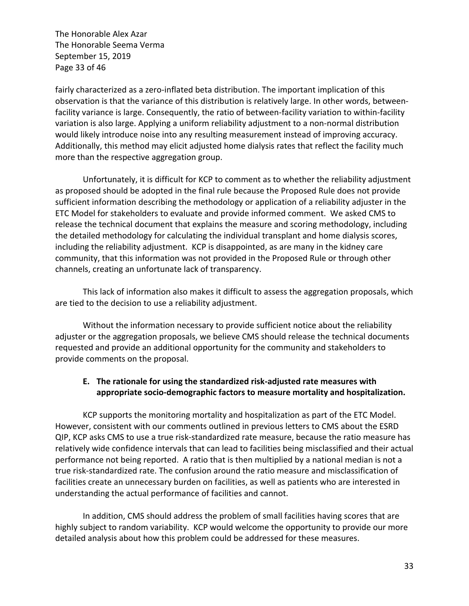The Honorable Alex Azar The Honorable Seema Verma September 15, 2019 Page 33 of 46

fairly characterized as a zero-inflated beta distribution. The important implication of this observation is that the variance of this distribution is relatively large. In other words, betweenfacility variance is large. Consequently, the ratio of between-facility variation to within-facility variation is also large. Applying a uniform reliability adjustment to a non-normal distribution would likely introduce noise into any resulting measurement instead of improving accuracy. Additionally, this method may elicit adjusted home dialysis rates that reflect the facility much more than the respective aggregation group.

Unfortunately, it is difficult for KCP to comment as to whether the reliability adjustment as proposed should be adopted in the final rule because the Proposed Rule does not provide sufficient information describing the methodology or application of a reliability adjuster in the ETC Model for stakeholders to evaluate and provide informed comment. We asked CMS to release the technical document that explains the measure and scoring methodology, including the detailed methodology for calculating the individual transplant and home dialysis scores, including the reliability adjustment. KCP is disappointed, as are many in the kidney care community, that this information was not provided in the Proposed Rule or through other channels, creating an unfortunate lack of transparency.

This lack of information also makes it difficult to assess the aggregation proposals, which are tied to the decision to use a reliability adjustment.

Without the information necessary to provide sufficient notice about the reliability adjuster or the aggregation proposals, we believe CMS should release the technical documents requested and provide an additional opportunity for the community and stakeholders to provide comments on the proposal.

### **E. The rationale for using the standardized risk-adjusted rate measures with appropriate socio-demographic factors to measure mortality and hospitalization.**

KCP supports the monitoring mortality and hospitalization as part of the ETC Model. However, consistent with our comments outlined in previous letters to CMS about the ESRD QIP, KCP asks CMS to use a true risk-standardized rate measure, because the ratio measure has relatively wide confidence intervals that can lead to facilities being misclassified and their actual performance not being reported. A ratio that is then multiplied by a national median is not a true risk-standardized rate. The confusion around the ratio measure and misclassification of facilities create an unnecessary burden on facilities, as well as patients who are interested in understanding the actual performance of facilities and cannot.

In addition, CMS should address the problem of small facilities having scores that are highly subject to random variability. KCP would welcome the opportunity to provide our more detailed analysis about how this problem could be addressed for these measures.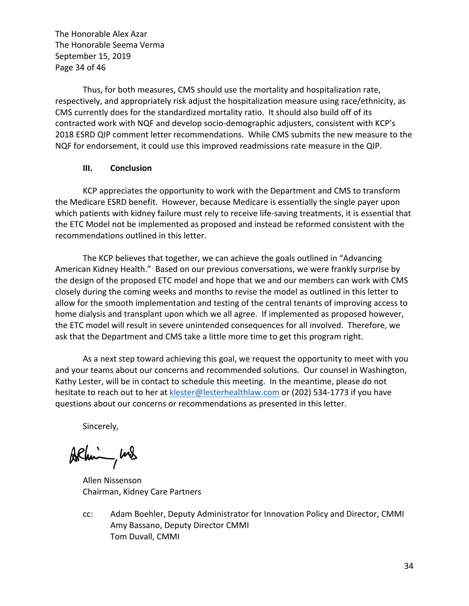The Honorable Alex Azar The Honorable Seema Verma September 15, 2019 Page 34 of 46

Thus, for both measures, CMS should use the mortality and hospitalization rate, respectively, and appropriately risk adjust the hospitalization measure using race/ethnicity, as CMS currently does for the standardized mortality ratio. It should also build off of its contracted work with NQF and develop socio-demographic adjusters, consistent with KCP's 2018 ESRD QIP comment letter recommendations. While CMS submits the new measure to the NQF for endorsement, it could use this improved readmissions rate measure in the QIP.

#### **III. Conclusion**

KCP appreciates the opportunity to work with the Department and CMS to transform the Medicare ESRD benefit. However, because Medicare is essentially the single payer upon which patients with kidney failure must rely to receive life-saving treatments, it is essential that the ETC Model not be implemented as proposed and instead be reformed consistent with the recommendations outlined in this letter.

The KCP believes that together, we can achieve the goals outlined in "Advancing American Kidney Health." Based on our previous conversations, we were frankly surprise by the design of the proposed ETC model and hope that we and our members can work with CMS closely during the coming weeks and months to revise the model as outlined in this letter to allow for the smooth implementation and testing of the central tenants of improving access to home dialysis and transplant upon which we all agree. If implemented as proposed however, the ETC model will result in severe unintended consequences for all involved. Therefore, we ask that the Department and CMS take a little more time to get this program right.

As a next step toward achieving this goal, we request the opportunity to meet with you and your teams about our concerns and recommended solutions. Our counsel in Washington, Kathy Lester, will be in contact to schedule this meeting. In the meantime, please do not hesitate to reach out to her at klester@lesterhealthlaw.com or (202) 534-1773 if you have questions about our concerns or recommendations as presented in this letter.

Sincerely,

ARhim, und

Allen Nissenson Chairman, Kidney Care Partners

cc: Adam Boehler, Deputy Administrator for Innovation Policy and Director, CMMI Amy Bassano, Deputy Director CMMI Tom Duvall, CMMI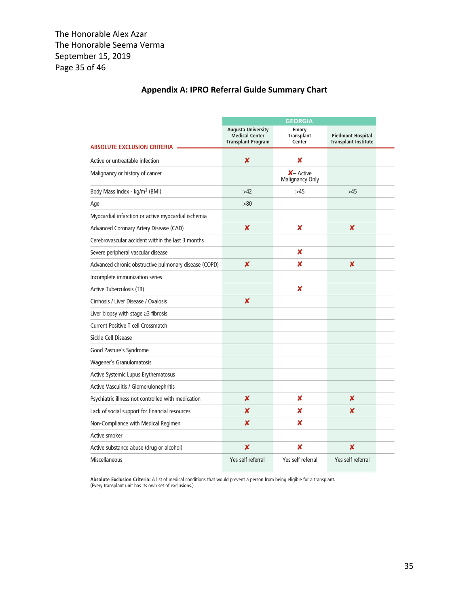# **Appendix A: IPRO Referral Guide Summary Chart**

|                                                       | <b>GEORGIA</b>                                                                  |                                             |                                                         |  |  |  |
|-------------------------------------------------------|---------------------------------------------------------------------------------|---------------------------------------------|---------------------------------------------------------|--|--|--|
| <b>ABSOLUTE EXCLUSION CRITERIA</b>                    | <b>Augusta University</b><br><b>Medical Center</b><br><b>Transplant Program</b> | <b>Emory</b><br><b>Transplant</b><br>Center | <b>Piedmont Hospital</b><br><b>Transplant Institute</b> |  |  |  |
| Active or untreatable infection                       | X                                                                               | x                                           |                                                         |  |  |  |
| Malignancy or history of cancer                       |                                                                                 | $X$ – Active<br>Malignancy Only             |                                                         |  |  |  |
| Body Mass Index - kg/m <sup>2</sup> (BMI)             | >42                                                                             | >45                                         | >45                                                     |  |  |  |
| Age                                                   | >80                                                                             |                                             |                                                         |  |  |  |
| Myocardial infarction or active myocardial ischemia   |                                                                                 |                                             |                                                         |  |  |  |
| Advanced Coronary Artery Disease (CAD)                | X                                                                               | x                                           | X                                                       |  |  |  |
| Cerebrovascular accident within the last 3 months     |                                                                                 |                                             |                                                         |  |  |  |
| Severe peripheral vascular disease                    |                                                                                 | X                                           |                                                         |  |  |  |
| Advanced chronic obstructive pulmonary disease (COPD) | x                                                                               | x                                           | $\boldsymbol{\mathsf{x}}$                               |  |  |  |
| Incomplete immunization series                        |                                                                                 |                                             |                                                         |  |  |  |
| <b>Active Tuberculosis (TB)</b>                       |                                                                                 | x                                           |                                                         |  |  |  |
| Cirrhosis / Liver Disease / Oxalosis                  | X                                                                               |                                             |                                                         |  |  |  |
| Liver biopsy with stage $\geq$ 3 fibrosis             |                                                                                 |                                             |                                                         |  |  |  |
| <b>Current Positive T cell Crossmatch</b>             |                                                                                 |                                             |                                                         |  |  |  |
| Sickle Cell Disease                                   |                                                                                 |                                             |                                                         |  |  |  |
| Good Pasture's Syndrome                               |                                                                                 |                                             |                                                         |  |  |  |
| Wagener's Granulomatosis                              |                                                                                 |                                             |                                                         |  |  |  |
| Active Systemic Lupus Erythematosus                   |                                                                                 |                                             |                                                         |  |  |  |
| Active Vasculitis / Glomerulonephritis                |                                                                                 |                                             |                                                         |  |  |  |
| Psychiatric illness not controlled with medication    | x                                                                               | x                                           | x                                                       |  |  |  |
| Lack of social support for financial resources        | ×                                                                               | x                                           | x                                                       |  |  |  |
| Non-Compliance with Medical Regimen                   | X                                                                               | x                                           |                                                         |  |  |  |
| Active smoker                                         |                                                                                 |                                             |                                                         |  |  |  |
| Active substance abuse (drug or alcohol)              | x                                                                               | x                                           | x                                                       |  |  |  |
| Miscellaneous                                         | Yes self referral                                                               | Yes self referral                           | Yes self referral                                       |  |  |  |

**Absolute Exclusion Criteria:** A list of medical conditions that would prevent a person from being eligible for a transplant. (Every transplant unit has its own set of exclusions.)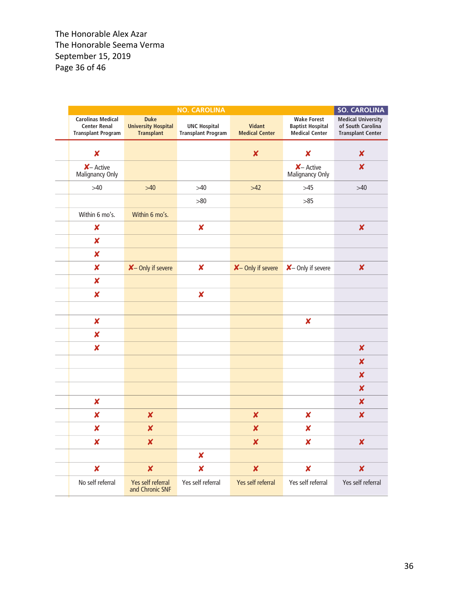|                                                                              |                                                  | <b>NO. CAROLINA</b>                              |                                 |                                                                 | <b>SO. CAROLINA</b>                                                        |
|------------------------------------------------------------------------------|--------------------------------------------------|--------------------------------------------------|---------------------------------|-----------------------------------------------------------------|----------------------------------------------------------------------------|
| <b>Carolinas Medical</b><br><b>Center Renal</b><br><b>Transplant Program</b> | Duke<br><b>University Hospital</b><br>Transplant | <b>UNC Hospital</b><br><b>Transplant Program</b> | Vidant<br><b>Medical Center</b> | <b>Wake Forest</b><br><b>Baptist Hospital</b><br>Medical Center | <b>Medical University</b><br>of South Carolina<br><b>Transplant Center</b> |
| $\pmb{\mathsf{X}}$                                                           |                                                  |                                                  | $\boldsymbol{x}$                | ×                                                               | $\pmb{\times}$                                                             |
| $X -$ Active<br>Malignancy Only                                              |                                                  |                                                  |                                 | $X -$ Active<br>Malignancy Only                                 | $\boldsymbol{\mathsf{x}}$                                                  |
| $>40$                                                                        | $>40$                                            | $>\!\!40$                                        | $>42$                           | $>45$                                                           | $>40$                                                                      |
|                                                                              |                                                  | $>\!\!80$                                        |                                 | $>85$                                                           |                                                                            |
| Within 6 mo's.                                                               | Within 6 mo's.                                   |                                                  |                                 |                                                                 |                                                                            |
| $\boldsymbol{\mathsf{x}}$                                                    |                                                  | $\boldsymbol{x}$                                 |                                 |                                                                 | $\boldsymbol{\mathsf{x}}$                                                  |
| $\pmb{\mathsf{X}}$                                                           |                                                  |                                                  |                                 |                                                                 |                                                                            |
| $\boldsymbol{x}$                                                             |                                                  |                                                  |                                 |                                                                 |                                                                            |
| $\boldsymbol{\mathsf{x}}$                                                    | X- Only if severe                                | $\boldsymbol{x}$                                 |                                 | X- Only if severe X- Only if severe                             | $\boldsymbol{\mathsf{x}}$                                                  |
| $\boldsymbol{\mathsf{x}}$                                                    |                                                  |                                                  |                                 |                                                                 |                                                                            |
| $\boldsymbol{x}$                                                             |                                                  | $\boldsymbol{x}$                                 |                                 |                                                                 |                                                                            |
|                                                                              |                                                  |                                                  |                                 |                                                                 |                                                                            |
| $\pmb{\times}$                                                               |                                                  |                                                  |                                 | $\boldsymbol{x}$                                                |                                                                            |
| $\boldsymbol{x}$                                                             |                                                  |                                                  |                                 |                                                                 |                                                                            |
| $\boldsymbol{x}$                                                             |                                                  |                                                  |                                 |                                                                 | $\boldsymbol{\mathsf{x}}$                                                  |
|                                                                              |                                                  |                                                  |                                 |                                                                 | $\boldsymbol{\mathsf{x}}$                                                  |
|                                                                              |                                                  |                                                  |                                 |                                                                 | $\boldsymbol{\mathsf{x}}$                                                  |
|                                                                              |                                                  |                                                  |                                 |                                                                 | $\boldsymbol{\mathsf{x}}$                                                  |
| $\boldsymbol{\mathsf{x}}$                                                    |                                                  |                                                  |                                 |                                                                 | $\boldsymbol{x}$                                                           |
| $\boldsymbol{\mathsf{x}}$                                                    | $\boldsymbol{x}$                                 |                                                  | $\boldsymbol{x}$                | $\boldsymbol{x}$                                                | $\boldsymbol{x}$                                                           |
| $\boldsymbol{\mathsf{x}}$                                                    | $\boldsymbol{x}$                                 |                                                  | $\pmb{\mathsf{x}}$              | $\boldsymbol{x}$                                                |                                                                            |
| $\pmb{\times}$                                                               | $\boldsymbol{x}$                                 |                                                  | $\boldsymbol{x}$                | $\boldsymbol{x}$                                                | $\boldsymbol{x}$                                                           |
|                                                                              |                                                  | $\pmb{\mathsf{x}}$                               |                                 |                                                                 |                                                                            |
| $\pmb{\mathsf{X}}$                                                           | $\boldsymbol{x}$                                 | $\boldsymbol{x}$                                 | $\boldsymbol{x}$                | $\boldsymbol{x}$                                                | $\boldsymbol{\mathsf{x}}$                                                  |
| No self referral                                                             | Yes self referral<br>and Chronic SNF             | Yes self referral                                | Yes self referral               | Yes self referral                                               | Yes self referral                                                          |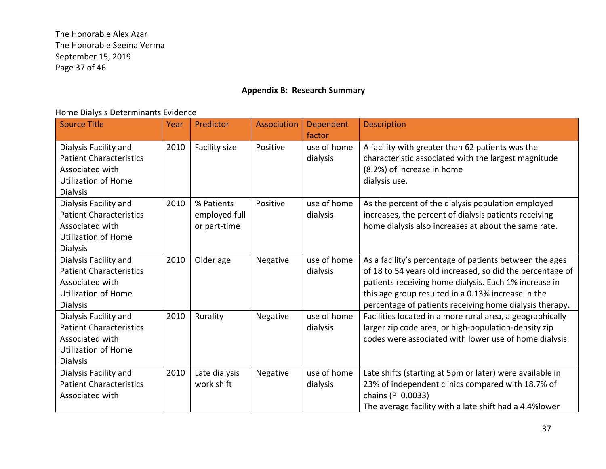The Honorable Alex Azar The Honorable Seema Verma September 15, 2019 Page 37 of 46

### **Appendix B: Research Summary**

### Home Dialysis Determinants Evidence

| <b>Source Title</b>                                                                                                         | Year | Predictor                                   | <b>Association</b> | Dependent<br>factor     | <b>Description</b>                                                                                                                                                                                                                                                                             |
|-----------------------------------------------------------------------------------------------------------------------------|------|---------------------------------------------|--------------------|-------------------------|------------------------------------------------------------------------------------------------------------------------------------------------------------------------------------------------------------------------------------------------------------------------------------------------|
| Dialysis Facility and<br><b>Patient Characteristics</b><br>Associated with<br><b>Utilization of Home</b><br><b>Dialysis</b> | 2010 | Facility size                               | Positive           | use of home<br>dialysis | A facility with greater than 62 patients was the<br>characteristic associated with the largest magnitude<br>(8.2%) of increase in home<br>dialysis use.                                                                                                                                        |
| Dialysis Facility and<br><b>Patient Characteristics</b><br>Associated with<br><b>Utilization of Home</b><br><b>Dialysis</b> | 2010 | % Patients<br>employed full<br>or part-time | Positive           | use of home<br>dialysis | As the percent of the dialysis population employed<br>increases, the percent of dialysis patients receiving<br>home dialysis also increases at about the same rate.                                                                                                                            |
| Dialysis Facility and<br><b>Patient Characteristics</b><br>Associated with<br><b>Utilization of Home</b><br><b>Dialysis</b> | 2010 | Older age                                   | Negative           | use of home<br>dialysis | As a facility's percentage of patients between the ages<br>of 18 to 54 years old increased, so did the percentage of<br>patients receiving home dialysis. Each 1% increase in<br>this age group resulted in a 0.13% increase in the<br>percentage of patients receiving home dialysis therapy. |
| Dialysis Facility and<br><b>Patient Characteristics</b><br>Associated with<br><b>Utilization of Home</b><br><b>Dialysis</b> | 2010 | Rurality                                    | Negative           | use of home<br>dialysis | Facilities located in a more rural area, a geographically<br>larger zip code area, or high-population-density zip<br>codes were associated with lower use of home dialysis.                                                                                                                    |
| Dialysis Facility and<br><b>Patient Characteristics</b><br>Associated with                                                  | 2010 | Late dialysis<br>work shift                 | Negative           | use of home<br>dialysis | Late shifts (starting at 5pm or later) were available in<br>23% of independent clinics compared with 18.7% of<br>chains (P 0.0033)<br>The average facility with a late shift had a 4.4% lower                                                                                                  |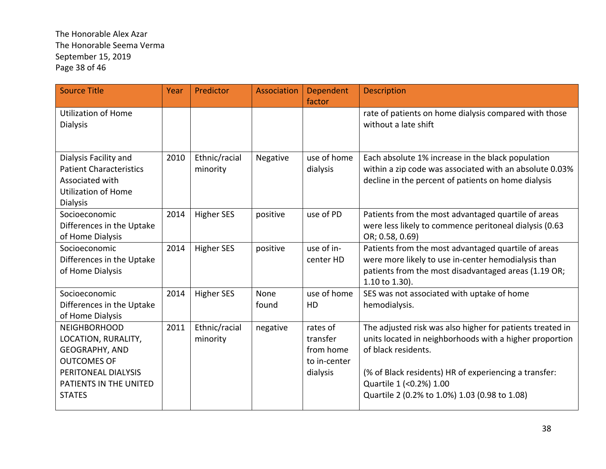# The Honorable Alex Azar The Honorable Seema Verma September 15, 2019 Page 38 of 46

| <b>Source Title</b>                                                                                                                                  | Year | Predictor                 | Association   | Dependent<br>factor                                           | <b>Description</b>                                                                                                                                                                                                                                                               |
|------------------------------------------------------------------------------------------------------------------------------------------------------|------|---------------------------|---------------|---------------------------------------------------------------|----------------------------------------------------------------------------------------------------------------------------------------------------------------------------------------------------------------------------------------------------------------------------------|
| <b>Utilization of Home</b><br><b>Dialysis</b>                                                                                                        |      |                           |               |                                                               | rate of patients on home dialysis compared with those<br>without a late shift                                                                                                                                                                                                    |
| Dialysis Facility and<br><b>Patient Characteristics</b><br>Associated with<br><b>Utilization of Home</b><br><b>Dialysis</b>                          | 2010 | Ethnic/racial<br>minority | Negative      | use of home<br>dialysis                                       | Each absolute 1% increase in the black population<br>within a zip code was associated with an absolute 0.03%<br>decline in the percent of patients on home dialysis                                                                                                              |
| Socioeconomic<br>Differences in the Uptake<br>of Home Dialysis                                                                                       | 2014 | <b>Higher SES</b>         | positive      | use of PD                                                     | Patients from the most advantaged quartile of areas<br>were less likely to commence peritoneal dialysis (0.63<br>OR; 0.58, 0.69)                                                                                                                                                 |
| Socioeconomic<br>Differences in the Uptake<br>of Home Dialysis                                                                                       | 2014 | <b>Higher SES</b>         | positive      | use of in-<br>center HD                                       | Patients from the most advantaged quartile of areas<br>were more likely to use in-center hemodialysis than<br>patients from the most disadvantaged areas (1.19 OR;<br>1.10 to 1.30).                                                                                             |
| Socioeconomic<br>Differences in the Uptake<br>of Home Dialysis                                                                                       | 2014 | <b>Higher SES</b>         | None<br>found | use of home<br>HD                                             | SES was not associated with uptake of home<br>hemodialysis.                                                                                                                                                                                                                      |
| <b>NEIGHBORHOOD</b><br>LOCATION, RURALITY,<br>GEOGRAPHY, AND<br><b>OUTCOMES OF</b><br>PERITONEAL DIALYSIS<br>PATIENTS IN THE UNITED<br><b>STATES</b> | 2011 | Ethnic/racial<br>minority | negative      | rates of<br>transfer<br>from home<br>to in-center<br>dialysis | The adjusted risk was also higher for patients treated in<br>units located in neighborhoods with a higher proportion<br>of black residents.<br>(% of Black residents) HR of experiencing a transfer:<br>Quartile 1 (<0.2%) 1.00<br>Quartile 2 (0.2% to 1.0%) 1.03 (0.98 to 1.08) |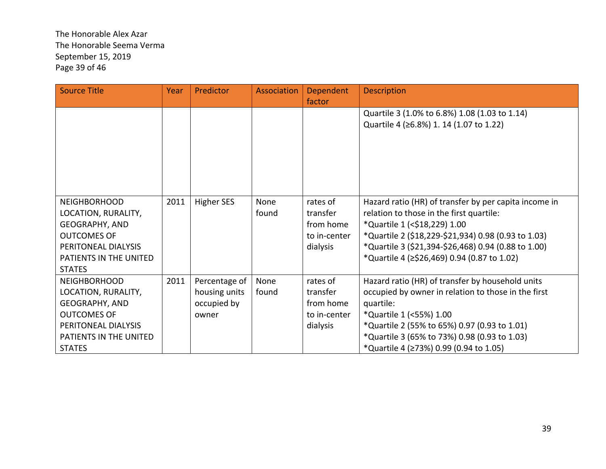# The Honorable Alex Azar The Honorable Seema Verma September 15, 2019 Page 39 of 46

| <b>Source Title</b>                                                                                                                                         | Year | Predictor                                              | Association   | Dependent<br>factor                                           | <b>Description</b>                                                                                                                                                                                                                                                                             |
|-------------------------------------------------------------------------------------------------------------------------------------------------------------|------|--------------------------------------------------------|---------------|---------------------------------------------------------------|------------------------------------------------------------------------------------------------------------------------------------------------------------------------------------------------------------------------------------------------------------------------------------------------|
|                                                                                                                                                             |      |                                                        |               |                                                               | Quartile 3 (1.0% to 6.8%) 1.08 (1.03 to 1.14)<br>Quartile 4 (≥6.8%) 1. 14 (1.07 to 1.22)                                                                                                                                                                                                       |
| <b>NEIGHBORHOOD</b><br>LOCATION, RURALITY,<br><b>GEOGRAPHY, AND</b><br><b>OUTCOMES OF</b><br>PERITONEAL DIALYSIS<br>PATIENTS IN THE UNITED<br><b>STATES</b> | 2011 | <b>Higher SES</b>                                      | None<br>found | rates of<br>transfer<br>from home<br>to in-center<br>dialysis | Hazard ratio (HR) of transfer by per capita income in<br>relation to those in the first quartile:<br>*Quartile 1 (<\$18,229) 1.00<br>*Quartile 2 (\$18,229-\$21,934) 0.98 (0.93 to 1.03)<br>*Quartile 3 (\$21,394-\$26,468) 0.94 (0.88 to 1.00)<br>*Quartile 4 (≥\$26,469) 0.94 (0.87 to 1.02) |
| <b>NEIGHBORHOOD</b><br>LOCATION, RURALITY,<br><b>GEOGRAPHY, AND</b><br><b>OUTCOMES OF</b><br>PERITONEAL DIALYSIS<br>PATIENTS IN THE UNITED<br><b>STATES</b> | 2011 | Percentage of<br>housing units<br>occupied by<br>owner | None<br>found | rates of<br>transfer<br>from home<br>to in-center<br>dialysis | Hazard ratio (HR) of transfer by household units<br>occupied by owner in relation to those in the first<br>quartile:<br>*Quartile 1 (<55%) 1.00<br>*Quartile 2 (55% to 65%) 0.97 (0.93 to 1.01)<br>*Quartile 3 (65% to 73%) 0.98 (0.93 to 1.03)<br>*Quartile 4 (≥73%) 0.99 (0.94 to 1.05)      |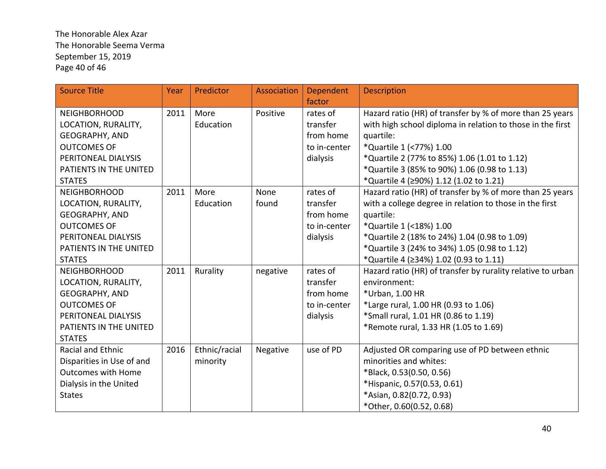The Honorable Alex Azar The Honorable Seema Verma September 15, 2019 Page 40 of 46

| <b>Source Title</b>       | Year | Predictor     | Association | Dependent    | <b>Description</b>                                          |
|---------------------------|------|---------------|-------------|--------------|-------------------------------------------------------------|
|                           |      |               |             | factor       |                                                             |
| <b>NEIGHBORHOOD</b>       | 2011 | More          | Positive    | rates of     | Hazard ratio (HR) of transfer by % of more than 25 years    |
| LOCATION, RURALITY,       |      | Education     |             | transfer     | with high school diploma in relation to those in the first  |
| <b>GEOGRAPHY, AND</b>     |      |               |             | from home    | quartile:                                                   |
| <b>OUTCOMES OF</b>        |      |               |             | to in-center | *Quartile 1 (<77%) 1.00                                     |
| PERITONEAL DIALYSIS       |      |               |             | dialysis     | *Quartile 2 (77% to 85%) 1.06 (1.01 to 1.12)                |
| PATIENTS IN THE UNITED    |      |               |             |              | *Quartile 3 (85% to 90%) 1.06 (0.98 to 1.13)                |
| <b>STATES</b>             |      |               |             |              | *Quartile 4 (≥90%) 1.12 (1.02 to 1.21)                      |
| <b>NEIGHBORHOOD</b>       | 2011 | More          | None        | rates of     | Hazard ratio (HR) of transfer by % of more than 25 years    |
| LOCATION, RURALITY,       |      | Education     | found       | transfer     | with a college degree in relation to those in the first     |
| <b>GEOGRAPHY, AND</b>     |      |               |             | from home    | quartile:                                                   |
| <b>OUTCOMES OF</b>        |      |               |             | to in-center | *Quartile 1 (<18%) 1.00                                     |
| PERITONEAL DIALYSIS       |      |               |             | dialysis     | *Quartile 2 (18% to 24%) 1.04 (0.98 to 1.09)                |
| PATIENTS IN THE UNITED    |      |               |             |              | *Quartile 3 (24% to 34%) 1.05 (0.98 to 1.12)                |
| <b>STATES</b>             |      |               |             |              | *Quartile 4 (≥34%) 1.02 (0.93 to 1.11)                      |
| <b>NEIGHBORHOOD</b>       | 2011 | Rurality      | negative    | rates of     | Hazard ratio (HR) of transfer by rurality relative to urban |
| LOCATION, RURALITY,       |      |               |             | transfer     | environment:                                                |
| GEOGRAPHY, AND            |      |               |             | from home    | *Urban, 1.00 HR                                             |
| <b>OUTCOMES OF</b>        |      |               |             | to in-center | *Large rural, 1.00 HR (0.93 to 1.06)                        |
| PERITONEAL DIALYSIS       |      |               |             | dialysis     | *Small rural, 1.01 HR (0.86 to 1.19)                        |
| PATIENTS IN THE UNITED    |      |               |             |              | *Remote rural, 1.33 HR (1.05 to 1.69)                       |
| <b>STATES</b>             |      |               |             |              |                                                             |
| Racial and Ethnic         | 2016 | Ethnic/racial | Negative    | use of PD    | Adjusted OR comparing use of PD between ethnic              |
| Disparities in Use of and |      | minority      |             |              | minorities and whites:                                      |
| <b>Outcomes with Home</b> |      |               |             |              | *Black, 0.53(0.50, 0.56)                                    |
| Dialysis in the United    |      |               |             |              | *Hispanic, 0.57(0.53, 0.61)                                 |
| <b>States</b>             |      |               |             |              | *Asian, 0.82(0.72, 0.93)                                    |
|                           |      |               |             |              | *Other, 0.60(0.52, 0.68)                                    |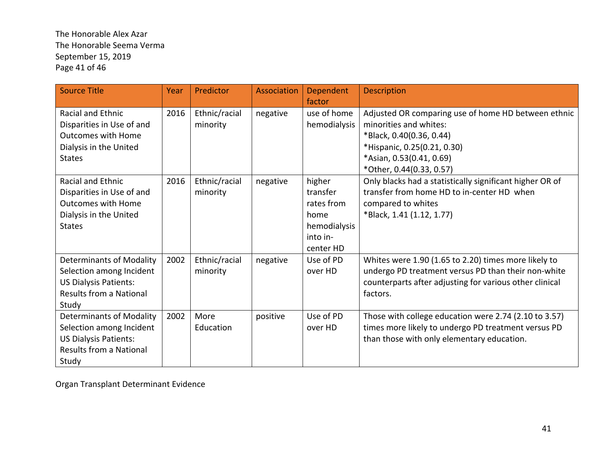# The Honorable Alex Azar The Honorable Seema Verma September 15, 2019 Page 41 of 46

| <b>Source Title</b>                                                                                                                    | <b>Year</b> | Predictor                 | <b>Association</b> | Dependent<br>factor                                                               | <b>Description</b>                                                                                                                                                                               |
|----------------------------------------------------------------------------------------------------------------------------------------|-------------|---------------------------|--------------------|-----------------------------------------------------------------------------------|--------------------------------------------------------------------------------------------------------------------------------------------------------------------------------------------------|
| <b>Racial and Ethnic</b><br>Disparities in Use of and<br><b>Outcomes with Home</b><br>Dialysis in the United<br><b>States</b>          | 2016        | Ethnic/racial<br>minority | negative           | use of home<br>hemodialysis                                                       | Adjusted OR comparing use of home HD between ethnic<br>minorities and whites:<br>*Black, 0.40(0.36, 0.44)<br>*Hispanic, 0.25(0.21, 0.30)<br>*Asian, 0.53(0.41, 0.69)<br>*Other, 0.44(0.33, 0.57) |
| <b>Racial and Ethnic</b><br>Disparities in Use of and<br><b>Outcomes with Home</b><br>Dialysis in the United<br><b>States</b>          | 2016        | Ethnic/racial<br>minority | negative           | higher<br>transfer<br>rates from<br>home<br>hemodialysis<br>into in-<br>center HD | Only blacks had a statistically significant higher OR of<br>transfer from home HD to in-center HD when<br>compared to whites<br>*Black, 1.41 (1.12, 1.77)                                        |
| <b>Determinants of Modality</b><br>Selection among Incident<br><b>US Dialysis Patients:</b><br><b>Results from a National</b><br>Study | 2002        | Ethnic/racial<br>minority | negative           | Use of PD<br>over HD                                                              | Whites were 1.90 (1.65 to 2.20) times more likely to<br>undergo PD treatment versus PD than their non-white<br>counterparts after adjusting for various other clinical<br>factors.               |
| <b>Determinants of Modality</b><br>Selection among Incident<br><b>US Dialysis Patients:</b><br>Results from a National<br>Study        | 2002        | More<br>Education         | positive           | Use of PD<br>over HD                                                              | Those with college education were 2.74 (2.10 to 3.57)<br>times more likely to undergo PD treatment versus PD<br>than those with only elementary education.                                       |

Organ Transplant Determinant Evidence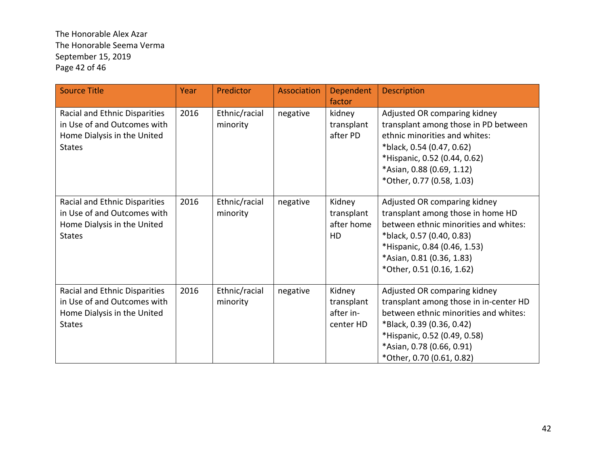The Honorable Alex Azar The Honorable Seema Verma September 15, 2019 Page 42 of 46

| <b>Source Title</b>                                                                                          | Year | Predictor                 | Association | <b>Dependent</b><br>factor                      | Description                                                                                                                                                                                                                            |
|--------------------------------------------------------------------------------------------------------------|------|---------------------------|-------------|-------------------------------------------------|----------------------------------------------------------------------------------------------------------------------------------------------------------------------------------------------------------------------------------------|
| Racial and Ethnic Disparities<br>in Use of and Outcomes with<br>Home Dialysis in the United<br><b>States</b> | 2016 | Ethnic/racial<br>minority | negative    | kidney<br>transplant<br>after PD                | Adjusted OR comparing kidney<br>transplant among those in PD between<br>ethnic minorities and whites:<br>*black, 0.54 (0.47, 0.62)<br>*Hispanic, 0.52 (0.44, 0.62)<br>*Asian, 0.88 (0.69, 1.12)<br>*Other, 0.77 (0.58, 1.03)           |
| Racial and Ethnic Disparities<br>in Use of and Outcomes with<br>Home Dialysis in the United<br><b>States</b> | 2016 | Ethnic/racial<br>minority | negative    | Kidney<br>transplant<br>after home<br><b>HD</b> | Adjusted OR comparing kidney<br>transplant among those in home HD<br>between ethnic minorities and whites:<br>*black, 0.57 (0.40, 0.83)<br>*Hispanic, 0.84 (0.46, 1.53)<br>*Asian, 0.81 (0.36, 1.83)<br>*Other, 0.51 (0.16, 1.62)      |
| Racial and Ethnic Disparities<br>in Use of and Outcomes with<br>Home Dialysis in the United<br><b>States</b> | 2016 | Ethnic/racial<br>minority | negative    | Kidney<br>transplant<br>after in-<br>center HD  | Adjusted OR comparing kidney<br>transplant among those in in-center HD<br>between ethnic minorities and whites:<br>*Black, 0.39 (0.36, 0.42)<br>*Hispanic, 0.52 (0.49, 0.58)<br>*Asian, 0.78 (0.66, 0.91)<br>*Other, 0.70 (0.61, 0.82) |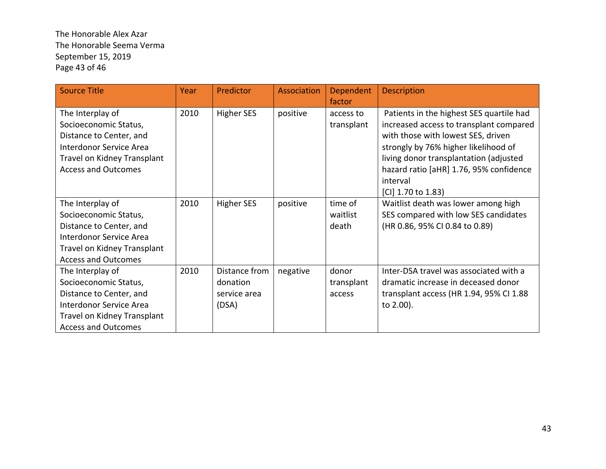The Honorable Alex Azar The Honorable Seema Verma September 15, 2019 Page 43 of 46

| <b>Source Title</b>                                                                                                                                          | Year | Predictor                                          | Association | Dependent<br>factor           | <b>Description</b>                                                                                                                                                                                                                                                                       |
|--------------------------------------------------------------------------------------------------------------------------------------------------------------|------|----------------------------------------------------|-------------|-------------------------------|------------------------------------------------------------------------------------------------------------------------------------------------------------------------------------------------------------------------------------------------------------------------------------------|
| The Interplay of<br>Socioeconomic Status,<br>Distance to Center, and<br>Interdonor Service Area<br>Travel on Kidney Transplant<br><b>Access and Outcomes</b> | 2010 | Higher SES                                         | positive    | access to<br>transplant       | Patients in the highest SES quartile had<br>increased access to transplant compared<br>with those with lowest SES, driven<br>strongly by 76% higher likelihood of<br>living donor transplantation (adjusted<br>hazard ratio [aHR] 1.76, 95% confidence<br>interval<br>[CI] 1.70 to 1.83) |
| The Interplay of<br>Socioeconomic Status,<br>Distance to Center, and<br>Interdonor Service Area<br>Travel on Kidney Transplant<br><b>Access and Outcomes</b> | 2010 | <b>Higher SES</b>                                  | positive    | time of<br>waitlist<br>death  | Waitlist death was lower among high<br>SES compared with low SES candidates<br>(HR 0.86, 95% CI 0.84 to 0.89)                                                                                                                                                                            |
| The Interplay of<br>Socioeconomic Status,<br>Distance to Center, and<br>Interdonor Service Area<br>Travel on Kidney Transplant<br><b>Access and Outcomes</b> | 2010 | Distance from<br>donation<br>service area<br>(DSA) | negative    | donor<br>transplant<br>access | Inter-DSA travel was associated with a<br>dramatic increase in deceased donor<br>transplant access (HR 1.94, 95% CI 1.88<br>to 2.00).                                                                                                                                                    |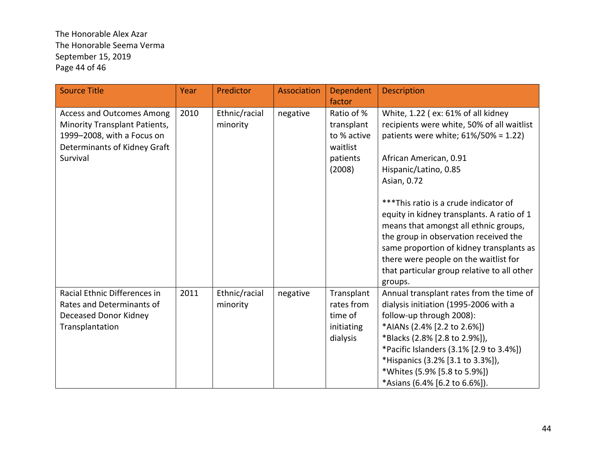# The Honorable Alex Azar The Honorable Seema Verma September 15, 2019 Page 44 of 46

| <b>Source Title</b>                                                                                                                         | <b>Year</b> | Predictor                 | Association | Dependent<br>factor                                                       | <b>Description</b>                                                                                                                                                                                                                                                                                                                                                                                                                                                                                                  |
|---------------------------------------------------------------------------------------------------------------------------------------------|-------------|---------------------------|-------------|---------------------------------------------------------------------------|---------------------------------------------------------------------------------------------------------------------------------------------------------------------------------------------------------------------------------------------------------------------------------------------------------------------------------------------------------------------------------------------------------------------------------------------------------------------------------------------------------------------|
| <b>Access and Outcomes Among</b><br>Minority Transplant Patients,<br>1999-2008, with a Focus on<br>Determinants of Kidney Graft<br>Survival | 2010        | Ethnic/racial<br>minority | negative    | Ratio of %<br>transplant<br>to % active<br>waitlist<br>patients<br>(2008) | White, 1.22 (ex: 61% of all kidney<br>recipients were white, 50% of all waitlist<br>patients were white; 61%/50% = 1.22)<br>African American, 0.91<br>Hispanic/Latino, 0.85<br>Asian, 0.72<br>*** This ratio is a crude indicator of<br>equity in kidney transplants. A ratio of 1<br>means that amongst all ethnic groups,<br>the group in observation received the<br>same proportion of kidney transplants as<br>there were people on the waitlist for<br>that particular group relative to all other<br>groups. |
| Racial Ethnic Differences in<br>Rates and Determinants of<br>Deceased Donor Kidney<br>Transplantation                                       | 2011        | Ethnic/racial<br>minority | negative    | Transplant<br>rates from<br>time of<br>initiating<br>dialysis             | Annual transplant rates from the time of<br>dialysis initiation (1995-2006 with a<br>follow-up through 2008):<br>*AIANs (2.4% [2.2 to 2.6%])<br>*Blacks (2.8% [2.8 to 2.9%]),<br>*Pacific Islanders (3.1% [2.9 to 3.4%])<br>*Hispanics (3.2% [3.1 to 3.3%]),<br>*Whites (5.9% [5.8 to 5.9%])<br>*Asians (6.4% [6.2 to 6.6%]).                                                                                                                                                                                       |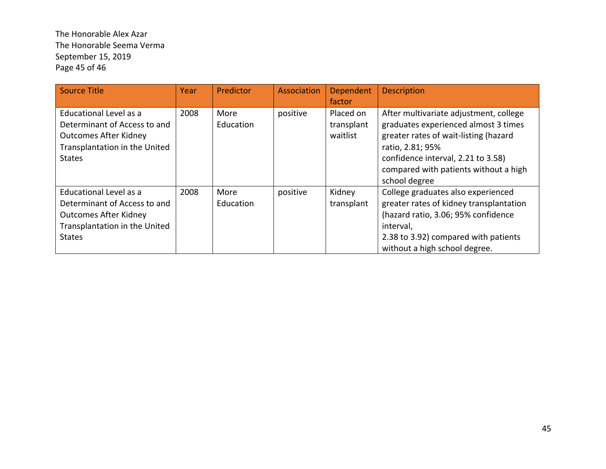The Honorable Alex Azar The Honorable Seema Verma September 15, 2019 Page 45 of 46

| <b>Source Title</b>                                                                                                                      | Year | Predictor         | Association | Dependent<br>factor                 | <b>Description</b>                                                                                                                                                                                                                          |
|------------------------------------------------------------------------------------------------------------------------------------------|------|-------------------|-------------|-------------------------------------|---------------------------------------------------------------------------------------------------------------------------------------------------------------------------------------------------------------------------------------------|
| Educational Level as a<br>Determinant of Access to and<br><b>Outcomes After Kidney</b><br>Transplantation in the United<br><b>States</b> | 2008 | More<br>Education | positive    | Placed on<br>transplant<br>waitlist | After multivariate adjustment, college<br>graduates experienced almost 3 times<br>greater rates of wait-listing (hazard<br>ratio, 2.81; 95%<br>confidence interval, 2.21 to 3.58)<br>compared with patients without a high<br>school degree |
| Educational Level as a<br>Determinant of Access to and<br><b>Outcomes After Kidney</b><br>Transplantation in the United<br><b>States</b> | 2008 | More<br>Education | positive    | Kidney<br>transplant                | College graduates also experienced<br>greater rates of kidney transplantation<br>(hazard ratio, 3.06; 95% confidence<br>interval,<br>2.38 to 3.92) compared with patients<br>without a high school degree.                                  |